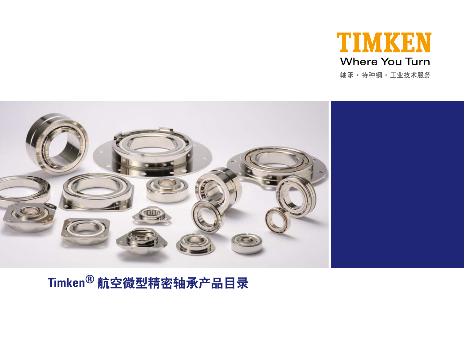



# **Timken®** 航空微型精密轴承产品目录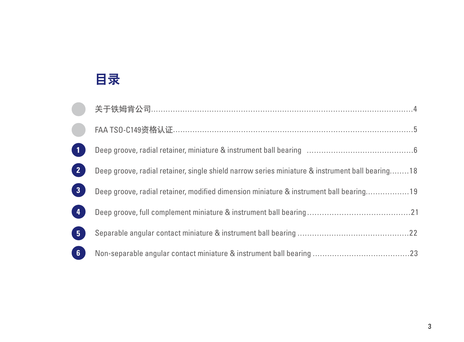# 目录

|                | 关于铁姆肯公司…………………………………………………………………………………………4                                                      |  |
|----------------|-------------------------------------------------------------------------------------------------|--|
|                | FAA TS0-C149资格认证………………………………………………………………………………………5                                              |  |
| $\vert$ 1      |                                                                                                 |  |
| 2 <sup>2</sup> | Deep groove, radial retainer, single shield narrow series miniature & instrument ball bearing18 |  |
| 3 <sup>1</sup> | Deep groove, radial retainer, modified dimension miniature & instrument ball bearing19          |  |
| $\sqrt{4}$     |                                                                                                 |  |
| 5 <sup>1</sup> |                                                                                                 |  |
| $\boxed{6}$    |                                                                                                 |  |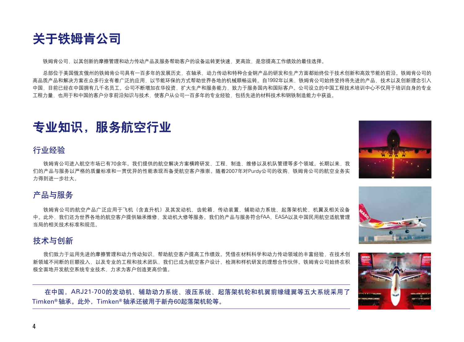![](_page_3_Picture_0.jpeg)

铁姆肯公司,以其创新的摩擦管理和动力传动产品及服务帮助客户的设备运转更快速,更高效,是您提高工作绩效的最佳选择。

总部位于美国俄亥俄州的铁姆肯公司具有一百多年的发展历史,在轴承、动力传动和特种合金钢产品的研发和生产方面都始终位于技术创新和高效节能的前沿。铁姆肯公司的 高品质产品和解决方案在众多行业有着广泛的应用,以节能环保的方式帮助世界各地的机械顺畅运转。自1992年以来,铁姆肯公司始终坚持将先进的产品、技术以及创新理念引入 中国,目前已经在中国拥有几千名员工。公司不断增加在华投资,扩大生产和服务能力,致力于服务国内和国际客户。公司设立的中国工程技术培训中心不仅用于培训自身的专业 工程力量、也用于和中国的客户分享前沿知识与技术、使客户从公司一百多年的专业经验,包括先进的材料技术和钢铁制造能力中获益。

# 专业知识,服务航空行业

#### 行业经验

铁姆肯公司进入航空市场已有70余年。我们提供的航空解决方案横跨研发、工程、制造、维修以及机队管理等多个领域。长期以来,我 们的产品与服务以严格的质量标准和一贯优异的性能表现而备受航空客户推崇。随着2007年对Purdy公司的收购,铁姆肯公司的航空业务实 力得到进一步壮大。

#### 产品与服务

铁姆肯公司的航空产品广泛应用于飞机(含直升机)及其发动机、齿轮箱、传动装置、辅助动力系统、起落架机轮、机翼及相关设备 中。此外,我们还为世界各地的航空客户提供轴承维修、发动机大修等服务。我们的产品与服务符合FAA、EASA以及中国民用航空适航管理 当局的相关技术标准和规范。

#### 技术与创新

我们致力于运用先进的摩擦管理和动力传动知识,帮助航空客户提高工作绩效。凭借在材料科学和动力传动领域的丰富经验,在技术创 新领域不间断的巨额投入,以及专业的工程和技术团队,我们已成为航空客户设计、检测和样机研发的理想合作伙伴。铁姆肯公司始终在积 极全面地开发航空系统专业技术,力求为客户创造更高价值。

在中国,ARJ21-700的发动机、辅助动力系统、液压系统、起落架机轮和机翼前缘缝翼等五大系统采用了 Timken**®** 轴承。此外,Timken**®** 轴承还被用于新舟60起落架机轮等。

![](_page_3_Picture_11.jpeg)

![](_page_3_Picture_12.jpeg)

![](_page_3_Picture_13.jpeg)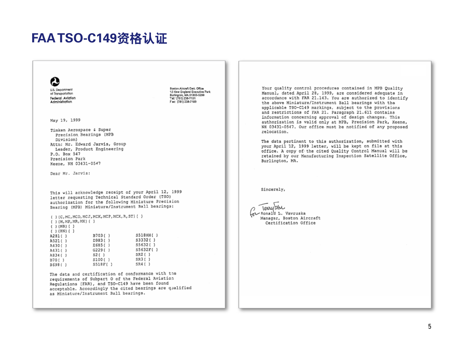# **FAA TSO-C149**资格认证

![](_page_4_Picture_1.jpeg)

**U.S. Deportment** of Transportation Federal Aviation Administration

May 19, 1999

Timken Aerospace & Super Precision Bearings (MPB Division) Attn: Mr. Edward Jarvis, Group Leader, Product Engineering P.O. Box 547 Presision Park Keene, NH 03431-0547

Dear Mr. Jarvis:

This will acknowledge receipt of your April 12, 1999 letter requesting Technical Standard Order (TSO) authorization for the following Miniature Precision Bearing (MPB) Miniature/Instrument Ball bearings:

Beston Aircraft Cert. Office

Tab (781) 238-7151

Fac: (781) 238-7199

sesson America Centronice<br>12 New England Executive Park<br>Burlington, MA 01803-5299

|  |              |  |                           |         | $( )$ (C, MC, MCD, MCJ, MCK, MCP, MCX, R, ST) $( )$ |          |  |  |
|--|--------------|--|---------------------------|---------|-----------------------------------------------------|----------|--|--|
|  |              |  | ( ) (M, M.P, M.R, MX) ( ) |         |                                                     |          |  |  |
|  | ( ) (MB) ( ) |  |                           |         |                                                     |          |  |  |
|  | ( ) (HN) ( ) |  |                           |         |                                                     |          |  |  |
|  | A281( )      |  |                           | B703()  |                                                     | S518HH() |  |  |
|  | A521( )      |  | D983()                    |         |                                                     | S3332()  |  |  |
|  | A430()       |  | E685()                    |         | S5632()                                             |          |  |  |
|  | A431( )      |  | G229()                    |         |                                                     | S5632F() |  |  |
|  | AB34()       |  |                           | S2()    |                                                     | SR2()    |  |  |
|  | B70()        |  |                           | S100()  |                                                     | SR3()    |  |  |
|  | B69B()       |  |                           | S518F() |                                                     | SR4()    |  |  |

The data and certification of conformance with the requirements of Subpart O of the Federal Aviation Regulations (FAR), and TSO-C149 have been found acceptable. Accordingly the cited bearings are qualified as Miniature/Instrument Ball bearings.

Your quality control procedures contained in MPB Quality Manual, dated April 28, 1999, are considered adequate in accordance with FAR 21.143. You are authorized to identify the above Miniature/Instrument Ball bearings with the applicable TSO-C149 markings, subject to the provisions and restrictions of FAR 21. Paragraph 21.611 contains information concerning approval of design changes. This authorization is valid only at MPB. Precision Park, Keene. NH 03431-0547. Our office must be notified of any proposed relocation

The data pertinent to this authorization, submitted with your April 12, 1999 letter, will be kept on file at this office. A copy of the cited Ouality Control Manual will be retained by our Manufacturing Inspection Satellite Office, Burlington, MA.

Sincerelv.

Terrytahu Av Ronald L. Vavruska Manager, Boston Aircraft Certification Office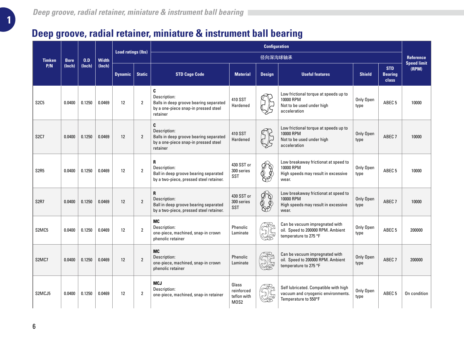|                                 |             |        | <b>Load ratings (lbs)</b> |                |                |                                                                                                                 | <b>Configuration</b>                       |               |                                                                                                     |                   |                                       |                                        |
|---------------------------------|-------------|--------|---------------------------|----------------|----------------|-----------------------------------------------------------------------------------------------------------------|--------------------------------------------|---------------|-----------------------------------------------------------------------------------------------------|-------------------|---------------------------------------|----------------------------------------|
| <b>Timken</b>                   | <b>Bore</b> | 0.D    | <b>Width</b>              |                |                |                                                                                                                 |                                            | 径向深沟球轴承       |                                                                                                     |                   |                                       | <b>Reference</b><br><b>Speed limit</b> |
| P/N                             | (Inch)      | (Inch) | (Inch)                    | <b>Dynamic</b> | <b>Static</b>  | <b>STD Cage Code</b>                                                                                            | <b>Material</b>                            | <b>Design</b> | <b>Useful features</b>                                                                              | <b>Shield</b>     | <b>STD</b><br><b>Bearing</b><br>class | (RPM)                                  |
| S <sub>2</sub> C <sub>5</sub>   | 0.0400      | 0.1250 | 0.0469                    | 12             | $\overline{2}$ | C<br>Description:<br>Balls in deep groove bearing separated<br>by a one-piece snap-in pressed steel<br>retainer | 410 SST<br>Hardened                        |               | Low frictional torque at speeds up to<br>10000 RPM<br>Not to be used under high<br>acceleration     | Only Open<br>type | ABEC <sub>5</sub>                     | 10000                                  |
| <b>S2C7</b>                     | 0.0400      | 0.1250 | 0.0469                    | 12             | $\overline{2}$ | C<br>Description:<br>Balls in deep groove bearing separated<br>by a one-piece snap-in pressed steel<br>retainer | 410 SST<br>Hardened                        |               | Low frictional torque at speeds up to<br>10000 RPM<br>Not to be used under high<br>acceleration     | Only Open<br>type | ABEC <sub>7</sub>                     | 10000                                  |
| <b>S2R5</b>                     | 0.0400      | 0.1250 | 0.0469                    | 12             | $\overline{2}$ | R<br>Description:<br>Ball in deep groove bearing separated<br>by a two-piece, pressed steel retainer.           | 430 SST or<br>300 series<br>SST            |               | Low breakaway frictionat at speed to<br>10000 RPM<br>High speeds may result in excessive<br>wear.   | Only Open<br>type | ABEC <sub>5</sub>                     | 10000                                  |
| <b>S2R7</b>                     | 0.0400      | 0.1250 | 0.0469                    | 12             | $\overline{2}$ | R<br>Description:<br>Ball in deep groove bearing separated<br>by a two-piece, pressed steel retainer.           | 430 SST or<br>300 series<br><b>SST</b>     |               | Low breakaway frictionat at speed to<br>10000 RPM<br>High speeds may result in excessive<br>wear.   | Only Open<br>type | ABEC <sub>7</sub>                     | 10000                                  |
| S <sub>2</sub> MC <sub>5</sub>  | 0.0400      | 0.1250 | 0.0469                    | 12             | $\overline{2}$ | <b>MC</b><br>Description:<br>one-piece, machined, snap-in crown<br>phenolic retainer                            | Phenolic<br>Laminate                       |               | Can be vacuum impregnated with<br>oil. Speed to 200000 RPM. Ambient<br>temperature to 275 °F        | Only Open<br>type | ABEC <sub>5</sub>                     | 200000                                 |
| S <sub>2</sub> M <sub>C</sub> 7 | 0.0400      | 0.1250 | 0.0469                    | 12             | $\overline{2}$ | <b>MC</b><br>Description:<br>one-piece, machined, snap-in crown<br>phenolic retainer                            | Phenolic<br>Laminate                       |               | Can be vacuum impregnated with<br>oil. Speed to 200000 RPM. Ambient<br>temperature to 275 °F        | Only Open<br>type | ABEC <sub>7</sub>                     | 200000                                 |
| S2MCJ5                          | 0.0400      | 0.1250 | 0.0469                    | 12             | $\overline{2}$ | <b>MCJ</b><br>Description:<br>one-piece, machined, snap-in retainer                                             | Glass<br>reinforced<br>teflon with<br>M0S2 |               | Self lubricated. Compatible with high<br>vacuum and cryogenic environments.<br>Temperature to 550°F | Only Open<br>type | ABEC <sub>5</sub>                     | On condition                           |

**1**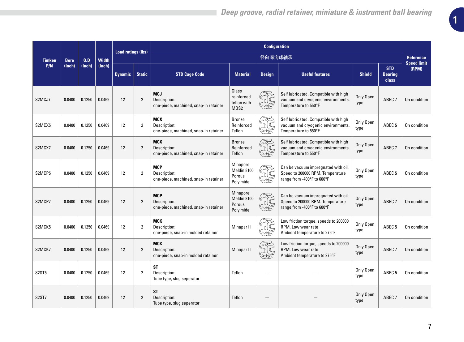|                                |             |        |              |                   | <b>Configuration</b><br><b>Load ratings (lbs)</b> |                                                                     |                                                |                           |                                                                                                       |                   |                                       |                                        |
|--------------------------------|-------------|--------|--------------|-------------------|---------------------------------------------------|---------------------------------------------------------------------|------------------------------------------------|---------------------------|-------------------------------------------------------------------------------------------------------|-------------------|---------------------------------------|----------------------------------------|
| <b>Timken</b>                  | <b>Bore</b> | 0.D    | <b>Width</b> |                   |                                                   |                                                                     |                                                | 径向深沟球轴承                   |                                                                                                       |                   |                                       | <b>Reference</b><br><b>Speed limit</b> |
| P/N                            | (Inch)      | (Inch) | (Inch)       | <b>Dynamic</b>    | <b>Static</b>                                     | <b>STD Cage Code</b>                                                | <b>Material</b>                                | <b>Design</b>             | <b>Useful features</b>                                                                                | <b>Shield</b>     | <b>STD</b><br><b>Bearing</b><br>class | (RPM)                                  |
| S2MCJ7                         | 0.0400      | 0.1250 | 0.0469       | 12                | $\overline{2}$                                    | <b>MCJ</b><br>Description:<br>one-piece, machined, snap-in retainer | Glass<br>reinforced<br>teflon with<br>MOS2     | SS<br>SS                  | Self lubricated. Compatible with high<br>vacuum and cryogenic environments.<br>Temperature to 550°F   | Only Open<br>type | ABEC <sub>7</sub>                     | On condition                           |
| S2MCX5                         | 0.0400      | 0.1250 | 0.0469       | 12                | $\overline{2}$                                    | <b>MCX</b><br>Description:<br>one-piece, machined, snap-in retainer | Bronze<br>Reinforced<br>Teflon                 | yg<br>Sé                  | Self lubricated. Compatible with high<br>vacuum and cryogenic environments.<br>Temperature to 550°F   | Only Open<br>type | ABEC <sub>5</sub>                     | On condition                           |
| S2MCX7                         | 0.0400      | 0.1250 | 0.0469       | 12                | $\overline{2}$                                    | <b>MCX</b><br>Description:<br>one-piece, machined, snap-in retainer | <b>Bronze</b><br>Reinforced<br>Teflon          | <b>SH</b>                 | Self lubricated. Compatible with high<br>vacuum and cryogenic environments.<br>Temperature to 550°F   | Only Open<br>type | ABEC <sub>7</sub>                     | On condition                           |
| S2MCP5                         | 0.0400      | 0.1250 | 0.0469       | 12                | $\overline{2}$                                    | <b>MCP</b><br>Description:<br>one-piece, machined, snap-in retainer | Minapore<br>Meldin 8100<br>Porous<br>Polyimide | <b>JE</b>                 | Can be vacuum impregnated with oil.<br>Speed to 200000 RPM. Temperature<br>range from -400°F to 600°F | Only Open<br>type | ABEC <sub>5</sub>                     | On condition                           |
| S2MCP7                         | 0.0400      | 0.1250 | 0.0469       | $12 \overline{ }$ | $\overline{2}$                                    | <b>MCP</b><br>Description:<br>one-piece, machined, snap-in retainer | Minapore<br>Meldin 8100<br>Porous<br>Polyimide | $\mathbb{G}_{\mathbb{F}}$ | Can be vacuum impregnated with oil.<br>Speed to 200000 RPM. Temperature<br>range from -400°F to 600°F | Only Open<br>type | ABEC <sub>7</sub>                     | On condition                           |
| S2MCK5                         | 0.0400      | 0.1250 | 0.0469       | 12                | $\overline{2}$                                    | <b>MCK</b><br>Description:<br>one-piece, snap-in molded retainer    | Minapar II                                     | $\mathbb{Z}$              | Low friction torque, speeds to 200000<br>RPM. Low wear rate<br>Ambient temperature to 275°F           | Only Open<br>type | ABEC <sub>5</sub>                     | On condition                           |
| S2MCK7                         | 0.0400      | 0.1250 | 0.0469       | 12                | $\overline{2}$                                    | <b>MCK</b><br>Description:<br>one-piece, snap-in molded retainer    | Minapar II                                     | 9F                        | Low friction torque, speeds to 200000<br>RPM. Low wear rate<br>Ambient temperature to 275°F           | Only Open<br>type | ABEC <sub>7</sub>                     | On condition                           |
| S2ST5                          | 0.0400      | 0.1250 | 0.0469       | $12 \overline{ }$ | 2                                                 | ST<br>Description:<br>Tube type, slug seperator                     | Teflon                                         |                           |                                                                                                       | Only Open<br>type | ABEC <sub>5</sub>                     | On condition                           |
| S <sub>2</sub> ST <sub>7</sub> | 0.0400      | 0.1250 | 0.0469       | 12                | $\overline{2}$                                    | ST<br>Description:<br>Tube type, slug seperator                     | Teflon                                         |                           |                                                                                                       | Only Open<br>type | ABEC <sub>7</sub>                     | On condition                           |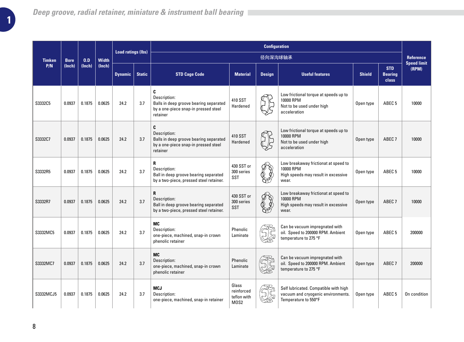|               |             |        |              |                |               |                                                                                                                 |                                            |               |                                                                                                     |               | <b>Load ratings (lbs)</b>             |                                        |  |  | <b>Configuration</b> |  |  |  |  |
|---------------|-------------|--------|--------------|----------------|---------------|-----------------------------------------------------------------------------------------------------------------|--------------------------------------------|---------------|-----------------------------------------------------------------------------------------------------|---------------|---------------------------------------|----------------------------------------|--|--|----------------------|--|--|--|--|
| <b>Timken</b> | <b>Bore</b> | 0.D    | <b>Width</b> |                |               |                                                                                                                 |                                            | 径向深沟球轴承       |                                                                                                     |               |                                       | <b>Reference</b><br><b>Speed limit</b> |  |  |                      |  |  |  |  |
| P/N           | (Inch)      | (Inch) | (lnch)       | <b>Dynamic</b> | <b>Static</b> | <b>STD Cage Code</b>                                                                                            | <b>Material</b>                            | <b>Design</b> | <b>Useful features</b>                                                                              | <b>Shield</b> | <b>STD</b><br><b>Bearing</b><br>class | (RPM)                                  |  |  |                      |  |  |  |  |
| S3332C5       | 0.0937      | 0.1875 | 0.0625       | 24.2           | 3.7           | C<br>Description:<br>Balls in deep groove bearing separated<br>by a one-piece snap-in pressed steel<br>retainer | 410 SST<br>Hardened                        |               | Low frictional torque at speeds up to<br>10000 RPM<br>Not to be used under high<br>acceleration     | Open type     | ABEC <sub>5</sub>                     | 10000                                  |  |  |                      |  |  |  |  |
| S3332C7       | 0.0937      | 0.1875 | 0.0625       | 24.2           | 3.7           | C<br>Description:<br>Balls in deep groove bearing separated<br>by a one-piece snap-in pressed steel<br>retainer | 410 SST<br>Hardened                        |               | Low frictional torque at speeds up to<br>10000 RPM<br>Not to be used under high<br>acceleration     | Open type     | ABEC <sub>7</sub>                     | 10000                                  |  |  |                      |  |  |  |  |
| S3332R5       | 0.0937      | 0.1875 | 0.0625       | 24.2           | 3.7           | R<br>Description:<br>Ball in deep groove bearing separated<br>by a two-piece, pressed steel retainer.           | 430 SST or<br>300 series<br>SST            |               | Low breakaway frictionat at speed to<br>10000 RPM<br>High speeds may result in excessive<br>wear.   | Open type     | ABEC <sub>5</sub>                     | 10000                                  |  |  |                      |  |  |  |  |
| S3332R7       | 0.0937      | 0.1875 | 0.0625       | 24.2           | 3.7           | R<br>Description:<br>Ball in deep groove bearing separated<br>by a two-piece, pressed steel retainer.           | 430 SST or<br>300 series<br>SST            | ♦             | Low breakaway frictionat at speed to<br>10000 RPM<br>High speeds may result in excessive<br>wear.   | Open type     | ABEC <sub>7</sub>                     | 10000                                  |  |  |                      |  |  |  |  |
| S3332MC5      | 0.0937      | 0.1875 | 0.0625       | 24.2           | 3.7           | MC<br>Description:<br>one-piece, machined, snap-in crown<br>phenolic retainer                                   | Phenolic<br>Laminate                       |               | Can be vacuum impregnated with<br>oil. Speed to 200000 RPM. Ambient<br>temperature to 275 °F        | Open type     | ABEC <sub>5</sub>                     | 200000                                 |  |  |                      |  |  |  |  |
| S3332MC7      | 0.0937      | 0.1875 | 0.0625       | 24.2           | 3.7           | <b>MC</b><br>Description:<br>one-piece, machined, snap-in crown<br>phenolic retainer                            | Phenolic<br>Laminate                       |               | Can be vacuum impregnated with<br>oil. Speed to 200000 RPM. Ambient<br>temperature to 275 °F        | Open type     | ABEC <sub>7</sub>                     | 200000                                 |  |  |                      |  |  |  |  |
| S3332MCJ5     | 0.0937      | 0.1875 | 0.0625       | 24.2           | 3.7           | <b>MCJ</b><br>Description:<br>one-piece, machined, snap-in retainer                                             | Glass<br>reinforced<br>teflon with<br>M0S2 |               | Self lubricated. Compatible with high<br>vacuum and cryogenic environments.<br>Temperature to 550°F | Open type     | ABEC 5                                | On condition                           |  |  |                      |  |  |  |  |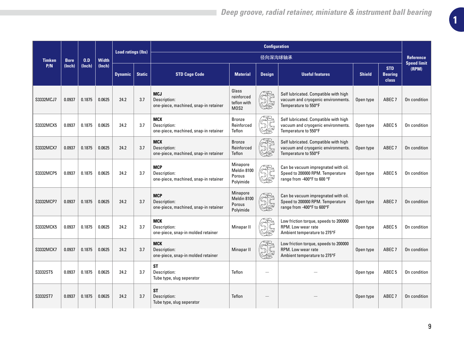|               |             |        |              |                           |               |                                                                     |                                                                     |                 | <b>Configuration</b>                                                                                   |               |                                       |                                 |  |
|---------------|-------------|--------|--------------|---------------------------|---------------|---------------------------------------------------------------------|---------------------------------------------------------------------|-----------------|--------------------------------------------------------------------------------------------------------|---------------|---------------------------------------|---------------------------------|--|
| <b>Timken</b> | <b>Bore</b> | 0.D    | <b>Width</b> | <b>Load ratings (lbs)</b> |               |                                                                     |                                                                     | 径向深沟球轴承         |                                                                                                        |               |                                       | Reference<br><b>Speed limit</b> |  |
| P/N           | (Inch)      | (Inch) | (Inch)       | <b>Dynamic</b>            | <b>Static</b> | <b>STD Cage Code</b>                                                | <b>Material</b>                                                     | <b>Design</b>   | <b>Useful features</b>                                                                                 | <b>Shield</b> | <b>STD</b><br><b>Bearing</b><br>class | (RPM)                           |  |
| S3332MCJ7     | 0.0937      | 0.1875 | 0.0625       | 24.2                      | 3.7           | <b>MCJ</b><br>Description:<br>one-piece, machined, snap-in retainer | Glass<br>reinforced<br>teflon with<br>M <sub>0</sub> S <sub>2</sub> |                 | Self lubricated. Compatible with high<br>vacuum and cryogenic environments.<br>Temperature to 550°F    | Open type     | ABEC <sub>7</sub>                     | On condition                    |  |
| S3332MCX5     | 0.0937      | 0.1875 | 0.0625       | 24.2                      | 3.7           | <b>MCX</b><br>Description:<br>one-piece, machined, snap-in retainer | <b>Bronze</b><br>Reinforced<br>Teflon                               | Š               | Self lubricated. Compatible with high<br>vacuum and cryogenic environments.<br>Temperature to 550°F    | Open type     | ABEC <sub>5</sub>                     | On condition                    |  |
| S3332MCX7     | 0.0937      | 0.1875 | 0.0625       | 24.2                      | 3.7           | <b>MCX</b><br>Description:<br>one-piece, machined, snap-in retainer | <b>Bronze</b><br>Reinforced<br>Teflon                               | æ,<br><b>JG</b> | Self lubricated. Compatible with high<br>vacuum and cryogenic environments.<br>Temperature to 550°F    | Open type     | ABEC <sub>7</sub>                     | On condition                    |  |
| S3332MCP5     | 0.0937      | 0.1875 | 0.0625       | 24.2                      | 3.7           | <b>MCP</b><br>Description:<br>one-piece, machined, snap-in retainer | Minapore<br>Meldin 8100<br>Porous<br>Polyimide                      | <b>JG</b>       | Can be vacuum impregnated with oil.<br>Speed to 200000 RPM. Temperature<br>range from -400°F to 600 °F | Open type     | ABEC <sub>5</sub>                     | On condition                    |  |
| S3332MCP7     | 0.0937      | 0.1875 | 0.0625       | 24.2                      | 3.7           | <b>MCP</b><br>Description:<br>one-piece, machined, snap-in retainer | <b>Minapore</b><br>Meldin 8100<br>Porous<br>Polyimide               | $\mathbb{C}$    | Can be vacuum impregnated with oil.<br>Speed to 200000 RPM. Temperature<br>range from -400°F to 600°F  | Open type     | ABEC <sub>7</sub>                     | On condition                    |  |
| S3332MCK5     | 0.0937      | 0.1875 | 0.0625       | 24.2                      | 3.7           | <b>MCK</b><br>Description:<br>one-piece, snap-in molded retainer    | Minapar II                                                          |                 | Low friction torque, speeds to 200000<br>RPM. Low wear rate<br>Ambient temperature to 275°F            | Open type     | ABEC <sub>5</sub>                     | On condition                    |  |
| S3332MCK7     | 0.0937      | 0.1875 | 0.0625       | 24.2                      | 3.7           | <b>MCK</b><br>Description:<br>one-piece, snap-in molded retainer    | Minapar II                                                          | <b>JE</b>       | Low friction torque, speeds to 200000<br>RPM. Low wear rate<br>Ambient temperature to 275°F            | Open type     | ABEC <sub>7</sub>                     | On condition                    |  |
| S3332ST5      | 0.0937      | 0.1875 | 0.0625       | 24.2                      | 3.7           | ST<br>Description:<br>Tube type, slug seperator                     | Teflon                                                              |                 |                                                                                                        | Open type     | ABEC <sub>5</sub>                     | On condition                    |  |
| S3332ST7      | 0.0937      | 0.1875 | 0.0625       | 24.2                      | 3.7           | ST<br>Description:<br>Tube type, slug seperator                     | Teflon                                                              |                 |                                                                                                        | Open type     | ABEC <sub>7</sub>                     | On condition                    |  |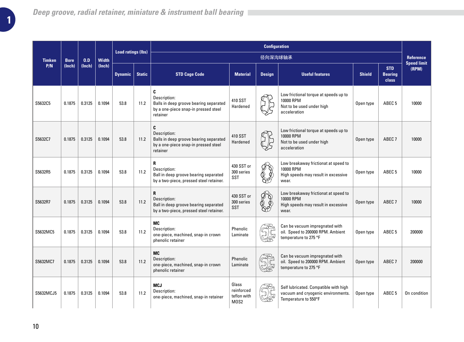|               |             |        |              | <b>Load ratings (lbs)</b> | <b>Configuration</b> |                                                                                                                 |                                            |                           |                                                                                                     |               |                                       |                                        |
|---------------|-------------|--------|--------------|---------------------------|----------------------|-----------------------------------------------------------------------------------------------------------------|--------------------------------------------|---------------------------|-----------------------------------------------------------------------------------------------------|---------------|---------------------------------------|----------------------------------------|
| <b>Timken</b> | <b>Bore</b> | 0.D    | <b>Width</b> |                           |                      |                                                                                                                 |                                            | 径向深沟球轴承                   |                                                                                                     |               |                                       | <b>Reference</b><br><b>Speed limit</b> |
| P/N           | (Inch)      | (Inch) | (lnch)       | <b>Dynamic</b>            | <b>Static</b>        | <b>STD Cage Code</b>                                                                                            | <b>Material</b>                            | <b>Design</b>             | <b>Useful features</b>                                                                              | <b>Shield</b> | <b>STD</b><br><b>Bearing</b><br>class | (RPM)                                  |
| S5632C5       | 0.1875      | 0.3125 | 0.1094       | 53.8                      | 11.2                 | C<br>Description:<br>Balls in deep groove bearing separated<br>by a one-piece snap-in pressed steel<br>retainer | 410 SST<br>Hardened                        |                           | Low frictional torque at speeds up to<br>10000 RPM<br>Not to be used under high<br>acceleration     | Open type     | ABEC <sub>5</sub>                     | 10000                                  |
| S5632C7       | 0.1875      | 0.3125 | 0.1094       | 53.8                      | 11.2                 | C<br>Description:<br>Balls in deep groove bearing separated<br>by a one-piece snap-in pressed steel<br>retainer | 410 SST<br>Hardened                        |                           | Low frictional torque at speeds up to<br>10000 RPM<br>Not to be used under high<br>acceleration     | Open type     | ABEC <sub>7</sub>                     | 10000                                  |
| S5632R5       | 0.1875      | 0.3125 | 0.1094       | 53.8                      | 11.2                 | R<br>Description:<br>Ball in deep groove bearing separated<br>by a two-piece, pressed steel retainer.           | 430 SST or<br>300 series<br>SST            |                           | Low breakaway frictionat at speed to<br>10000 RPM<br>High speeds may result in excessive<br>wear.   | Open type     | ABEC <sub>5</sub>                     | 10000                                  |
| S5632R7       | 0.1875      | 0.3125 | 0.1094       | 53.8                      | 11.2                 | R<br>Description:<br>Ball in deep groove bearing separated<br>by a two-piece, pressed steel retainer.           | 430 SST or<br>300 series<br><b>SST</b>     | $\mathscr{F} \mathscr{D}$ | Low breakaway frictionat at speed to<br>10000 RPM<br>High speeds may result in excessive<br>wear.   | Open type     | ABEC <sub>7</sub>                     | 10000                                  |
| S5632MC5      | 0.1875      | 0.3125 | 0.1094       | 53.8                      | 11.2                 | MC<br>Description:<br>one-piece, machined, snap-in crown<br>phenolic retainer                                   | Phenolic<br>Laminate                       |                           | Can be vacuum impregnated with<br>oil. Speed to 200000 RPM. Ambient<br>temperature to 275 °F        | Open type     | ABEC <sub>5</sub>                     | 200000                                 |
| S5632MC7      | 0.1875      | 0.3125 | 0.1094       | 53.8                      | 11.2                 | MC<br>Description:<br>one-piece, machined, snap-in crown<br>phenolic retainer                                   | Phenolic<br>Laminate                       |                           | Can be vacuum impregnated with<br>oil. Speed to 200000 RPM. Ambient<br>temperature to 275 °F        | Open type     | ABEC <sub>7</sub>                     | 200000                                 |
| S5632MCJ5     | 0.1875      | 0.3125 | 0.1094       | 53.8                      | 11.2                 | <b>MCJ</b><br>Description:<br>one-piece, machined, snap-in retainer                                             | Glass<br>reinforced<br>teflon with<br>MOS2 |                           | Self lubricated. Compatible with high<br>vacuum and cryogenic environments.<br>Temperature to 550°F | Open type     | ABEC <sub>5</sub>                     | On condition                           |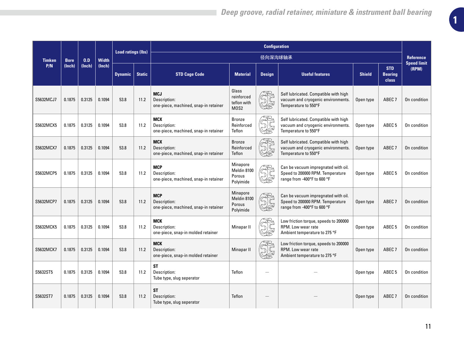|               |             |        |              | <b>Load ratings (lbs)</b> |               |                                                                     |                                                | <b>Configuration</b> |                                                                                                        |               |                                       |                                        |
|---------------|-------------|--------|--------------|---------------------------|---------------|---------------------------------------------------------------------|------------------------------------------------|----------------------|--------------------------------------------------------------------------------------------------------|---------------|---------------------------------------|----------------------------------------|
| <b>Timken</b> | <b>Bore</b> | 0.D    | <b>Width</b> |                           |               |                                                                     |                                                | 径向深沟球轴承              |                                                                                                        |               |                                       | <b>Reference</b><br><b>Speed limit</b> |
| P/N           | (Inch)      | (Inch) | (lnch)       | <b>Dynamic</b>            | <b>Static</b> | <b>STD Cage Code</b>                                                | <b>Material</b>                                | <b>Design</b>        | <b>Useful features</b>                                                                                 | <b>Shield</b> | <b>STD</b><br><b>Bearing</b><br>class | (RPM)                                  |
| S5632MCJ7     | 0.1875      | 0.3125 | 0.1094       | 53.8                      | 11.2          | <b>MCJ</b><br>Description:<br>one-piece, machined, snap-in retainer | Glass<br>reinforced<br>teflon with<br>MOS2     |                      | Self lubricated. Compatible with high<br>vacuum and cryogenic environments.<br>Temperature to 550°F    | Open type     | ABEC <sub>7</sub>                     | On condition                           |
| S5632MCX5     | 0.1875      | 0.3125 | 0.1094       | 53.8                      | 11.2          | <b>MCX</b><br>Description:<br>one-piece, machined, snap-in retainer | <b>Bronze</b><br>Reinforced<br>Teflon          |                      | Self lubricated. Compatible with high<br>vacuum and cryogenic environments.<br>Temperature to 550°F    | Open type     | ABEC <sub>5</sub>                     | On condition                           |
| S5632MCX7     | 0.1875      | 0.3125 | 0.1094       | 53.8                      | 11.2          | <b>MCX</b><br>Description:<br>one-piece, machined, snap-in retainer | Bronze<br>Reinforced<br>Teflon                 | <b>JG</b>            | Self lubricated. Compatible with high<br>vacuum and cryogenic environments.<br>Temperature to 550°F    | Open type     | ABEC <sub>7</sub>                     | On condition                           |
| S5632MCP5     | 0.1875      | 0.3125 | 0.1094       | 53.8                      | 11.2          | <b>MCP</b><br>Description:<br>one-piece, machined, snap-in retainer | Minapore<br>Meldin 8100<br>Porous<br>Polyimide | $\frac{1}{2}$        | Can be vacuum impregnated with oil.<br>Speed to 200000 RPM. Temperature<br>range from -400°F to 600 °F | Open type     | ABEC <sub>5</sub>                     | On condition                           |
| S5632MCP7     | 0.1875      | 0.3125 | 0.1094       | 53.8                      | 11.2          | <b>MCP</b><br>Description:<br>one-piece, machined, snap-in retainer | Minapore<br>Meldin 8100<br>Porous<br>Polyimide |                      | Can be vacuum impregnated with oil.<br>Speed to 200000 RPM. Temperature<br>range from -400°F to 600 °F | Open type     | ABEC <sub>7</sub>                     | On condition                           |
| S5632MCK5     | 0.1875      | 0.3125 | 0.1094       | 53.8                      | 11.2          | <b>MCK</b><br>Description:<br>one-piece, snap-in molded retainer    | Minapar II                                     |                      | Low friction torque, speeds to 200000<br>RPM. Low wear rate<br>Ambient temperature to 275 °F           | Open type     | ABEC <sub>5</sub>                     | On condition                           |
| S5632MCK7     | 0.1875      | 0.3125 | 0.1094       | 53.8                      | 11.2          | <b>MCK</b><br>Description:<br>one-piece, snap-in molded retainer    | Minapar II                                     | $\mathbb{C}$         | Low friction torque, speeds to 200000<br>RPM. Low wear rate<br>Ambient temperature to 275 °F           | Open type     | ABEC <sub>7</sub>                     | On condition                           |
| S5632ST5      | 0.1875      | 0.3125 | 0.1094       | 53.8                      | 11.2          | ST<br>Description:<br>Tube type, slug seperator                     | Teflon                                         |                      |                                                                                                        | Open type     | ABEC <sub>5</sub>                     | On condition                           |
| S5632ST7      | 0.1875      | 0.3125 | 0.1094       | 53.8                      | 11.2          | ST<br>Description:<br>Tube type, slug seperator                     | Teflon                                         |                      |                                                                                                        | Open type     | ABEC <sub>7</sub>                     | On condition                           |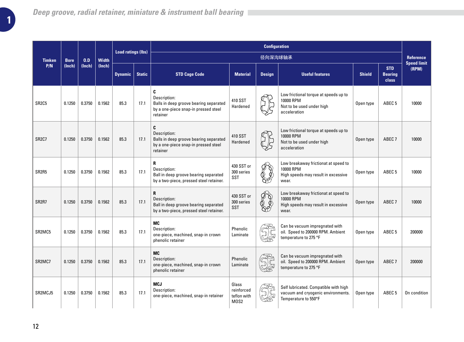|                                 |             |        |              | <b>Load ratings (lbs)</b> |               |                                                                                                                 | <b>Configuration</b>                       |                           |                                                                                                     |               |                                       |                                        |
|---------------------------------|-------------|--------|--------------|---------------------------|---------------|-----------------------------------------------------------------------------------------------------------------|--------------------------------------------|---------------------------|-----------------------------------------------------------------------------------------------------|---------------|---------------------------------------|----------------------------------------|
| <b>Timken</b>                   | <b>Bore</b> | 0.D    | <b>Width</b> |                           |               |                                                                                                                 |                                            | 径向深沟球轴承                   |                                                                                                     |               |                                       | <b>Reference</b><br><b>Speed limit</b> |
| P/N                             | (Inch)      | (Inch) | (lnch)       | <b>Dynamic</b>            | <b>Static</b> | <b>STD Cage Code</b>                                                                                            | <b>Material</b>                            | <b>Design</b>             | <b>Useful features</b>                                                                              | <b>Shield</b> | <b>STD</b><br><b>Bearing</b><br>class | (RPM)                                  |
| SR <sub>2</sub> C <sub>5</sub>  | 0.1250      | 0.3750 | 0.1562       | 85.3                      | 17.1          | C<br>Description:<br>Balls in deep groove bearing separated<br>by a one-piece snap-in pressed steel<br>retainer | 410 SST<br>Hardened                        |                           | Low frictional torque at speeds up to<br>10000 RPM<br>Not to be used under high<br>acceleration     | Open type     | ABEC <sub>5</sub>                     | 10000                                  |
| SR <sub>2</sub> C <sub>7</sub>  | 0.1250      | 0.3750 | 0.1562       | 85.3                      | 17.1          | C<br>Description:<br>Balls in deep groove bearing separated<br>by a one-piece snap-in pressed steel<br>retainer | 410 SST<br>Hardened                        |                           | Low frictional torque at speeds up to<br>10000 RPM<br>Not to be used under high<br>acceleration     | Open type     | ABEC <sub>7</sub>                     | 10000                                  |
| SR <sub>2</sub> R <sub>5</sub>  | 0.1250      | 0.3750 | 0.1562       | 85.3                      | 17.1          | R<br>Description:<br>Ball in deep groove bearing separated<br>by a two-piece, pressed steel retainer.           | 430 SST or<br>300 series<br>SST            |                           | Low breakaway frictionat at speed to<br>10000 RPM<br>High speeds may result in excessive<br>wear.   | Open type     | ABEC <sub>5</sub>                     | 10000                                  |
| SR <sub>2</sub> R <sub>7</sub>  | 0.1250      | 0.3750 | 0.1562       | 85.3                      | 17.1          | R<br>Description:<br>Ball in deep groove bearing separated<br>by a two-piece, pressed steel retainer.           | 430 SST or<br>300 series<br><b>SST</b>     | $\mathscr{D} \mathscr{D}$ | Low breakaway frictionat at speed to<br>10000 RPM<br>High speeds may result in excessive<br>wear.   | Open type     | ABEC <sub>7</sub>                     | 10000                                  |
| SR <sub>2</sub> MC <sub>5</sub> | 0.1250      | 0.3750 | 0.1562       | 85.3                      | 17.1          | MC<br>Description:<br>one-piece, machined, snap-in crown<br>phenolic retainer                                   | Phenolic<br>Laminate                       |                           | Can be vacuum impregnated with<br>oil. Speed to 200000 RPM. Ambient<br>temperature to 275 °F        | Open type     | ABEC <sub>5</sub>                     | 200000                                 |
| SR <sub>2</sub> MC <sub>7</sub> | 0.1250      | 0.3750 | 0.1562       | 85.3                      | 17.1          | MC<br>Description:<br>one-piece, machined, snap-in crown<br>phenolic retainer                                   | Phenolic<br>Laminate                       |                           | Can be vacuum impregnated with<br>oil. Speed to 200000 RPM. Ambient<br>temperature to 275 °F        | Open type     | ABEC <sub>7</sub>                     | 200000                                 |
| SR2MCJ5                         | 0.1250      | 0.3750 | 0.1562       | 85.3                      | 17.1          | <b>MCJ</b><br>Description:<br>one-piece, machined, snap-in retainer                                             | Glass<br>reinforced<br>teflon with<br>MOS2 |                           | Self lubricated. Compatible with high<br>vacuum and cryogenic environments.<br>Temperature to 550°F | Open type     | ABEC <sub>5</sub>                     | On condition                           |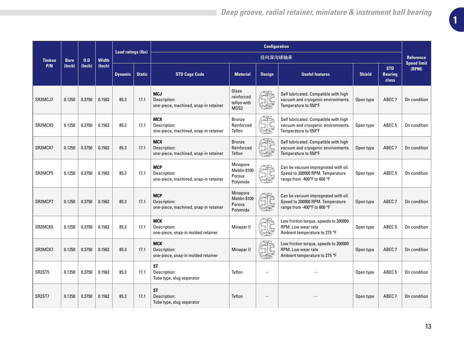|                                  |             |        |              | <b>Load ratings (lbs)</b> |               |                                                                     |                                                | <b>Configuration</b>                                                                                                                                                                                                                                                                                                                                |                                                                                                        |               |                                       |                                 |
|----------------------------------|-------------|--------|--------------|---------------------------|---------------|---------------------------------------------------------------------|------------------------------------------------|-----------------------------------------------------------------------------------------------------------------------------------------------------------------------------------------------------------------------------------------------------------------------------------------------------------------------------------------------------|--------------------------------------------------------------------------------------------------------|---------------|---------------------------------------|---------------------------------|
| <b>Timken</b>                    | <b>Bore</b> | 0.D    | <b>Width</b> |                           |               |                                                                     |                                                | 径向深沟球轴承                                                                                                                                                                                                                                                                                                                                             |                                                                                                        |               |                                       | Reference<br><b>Speed limit</b> |
| P/N                              | (Inch)      | (Inch) | (lnch)       | <b>Dynamic</b>            | <b>Static</b> | <b>STD Cage Code</b>                                                | <b>Material</b>                                | <b>Design</b>                                                                                                                                                                                                                                                                                                                                       | <b>Useful features</b>                                                                                 | <b>Shield</b> | <b>STD</b><br><b>Bearing</b><br>class | (RPM)                           |
| SR <sub>2</sub> M <sub>CJ7</sub> | 0.1250      | 0.3750 | 0.1562       | 85.3                      | 17.1          | <b>MCJ</b><br>Description:<br>one-piece, machined, snap-in retainer | Glass<br>reinforced<br>teflon with<br>MOS2     |                                                                                                                                                                                                                                                                                                                                                     | Self lubricated. Compatible with high<br>vacuum and cryogenic environments.<br>Temperature to 550°F    | Open type     | ABEC <sub>7</sub>                     | On condition                    |
| SR2MCX5                          | 0.1250      | 0.3750 | 0.1562       | 85.3                      | 17.1          | <b>MCX</b><br>Description:<br>one-piece, machined, snap-in retainer | <b>Bronze</b><br>Reinforced<br>Teflon          |                                                                                                                                                                                                                                                                                                                                                     | Self lubricated. Compatible with high<br>vacuum and cryogenic environments.<br>Temperature to 550°F    | Open type     | ABEC <sub>5</sub>                     | On condition                    |
| SR <sub>2</sub> MC <sub>X7</sub> | 0.1250      | 0.3750 | 0.1562       | 85.3                      | 17.1          | <b>MCX</b><br>Description:<br>one-piece, machined, snap-in retainer | <b>Bronze</b><br>Reinforced<br>Teflon          |                                                                                                                                                                                                                                                                                                                                                     | Self lubricated. Compatible with high<br>vacuum and cryogenic environments.<br>Temperature to 550°F    | Open type     | ABEC <sub>7</sub>                     | On condition                    |
| SR2MCP5                          | 0.1250      | 0.3750 | 0.1562       | 85.3                      | 17.1          | <b>MCP</b><br>Description:<br>one-piece, machined, snap-in retainer | Minapore<br>Meldin 8100<br>Porous<br>Polyimide | $\begin{picture}(40,40) \put(0,0){\line(1,0){155}} \put(0,0){\line(1,0){155}} \put(0,0){\line(1,0){155}} \put(0,0){\line(1,0){155}} \put(0,0){\line(1,0){155}} \put(0,0){\line(1,0){155}} \put(0,0){\line(1,0){155}} \put(0,0){\line(1,0){155}} \put(0,0){\line(1,0){155}} \put(0,0){\line(1,0){155}} \put(0,0){\line(1,0){155}} \put(0,0){\line(1$ | Can be vacuum impregnated with oil.<br>Speed to 200000 RPM. Temperature<br>range from -400°F to 600 °F | Open type     | ABEC <sub>5</sub>                     | On condition                    |
| SR <sub>2</sub> MCP <sub>7</sub> | 0.1250      | 0.3750 | 0.1562       | 85.3                      | 17.1          | <b>MCP</b><br>Description:<br>one-piece, machined, snap-in retainer | Minapore<br>Meldin 8100<br>Porous<br>Polyimide |                                                                                                                                                                                                                                                                                                                                                     | Can be vacuum impregnated with oil.<br>Speed to 200000 RPM. Temperature<br>range from -400°F to 600 °F | Open type     | ABEC <sub>7</sub>                     | On condition                    |
| SR2MCK5                          | 0.1250      | 0.3750 | 0.1562       | 85.3                      | 17.1          | <b>MCK</b><br>Description:<br>one-piece, snap-in molded retainer    | Minapar II                                     |                                                                                                                                                                                                                                                                                                                                                     | Low friction torque, speeds to 200000<br>RPM. Low wear rate<br>Ambient temperature to 275 °F           | Open type     | ABEC <sub>5</sub>                     | On condition                    |
| SR2MCK7                          | 0.1250      | 0.3750 | 0.1562       | 85.3                      | 17.1          | <b>MCK</b><br>Description:<br>one-piece, snap-in molded retainer    | Minapar II                                     | $\begin{picture}(40,40) \put(0,0){\line(1,0){155}} \put(15,0){\line(1,0){155}} \put(15,0){\line(1,0){155}} \put(15,0){\line(1,0){155}} \put(15,0){\line(1,0){155}} \put(15,0){\line(1,0){155}} \put(15,0){\line(1,0){155}} \put(15,0){\line(1,0){155}} \put(15,0){\line(1,0){155}} \put(15,0){\line(1,0){155}} \put(15,0){\line(1,0){155}} \$       | Low friction torque, speeds to 200000<br>RPM. Low wear rate<br>Ambient temperature to 275 °F           | Open type     | ABEC <sub>7</sub>                     | On condition                    |
| SR <sub>2</sub> ST <sub>5</sub>  | 0.1250      | 0.3750 | 0.1562       | 85.3                      | 17.1          | <b>ST</b><br>Description:<br>Tube type, slug seperator              | Teflon                                         |                                                                                                                                                                                                                                                                                                                                                     |                                                                                                        | Open type     | ABEC <sub>5</sub>                     | On condition                    |
| SR2ST7                           | 0.1250      | 0.3750 | 0.1562       | 85.3                      | 17.1          | <b>ST</b><br>Description:<br>Tube type, slug seperator              | Teflon                                         |                                                                                                                                                                                                                                                                                                                                                     |                                                                                                        | Open type     | ABEC <sub>7</sub>                     | On condition                    |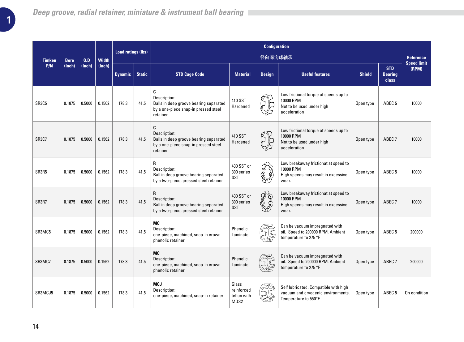|                                |             |        |              | <b>Load ratings (lbs)</b> |               |                                                                                                                 |                                                       | <b>Configuration</b> |                                                                                                     |               |                                       |                                        |
|--------------------------------|-------------|--------|--------------|---------------------------|---------------|-----------------------------------------------------------------------------------------------------------------|-------------------------------------------------------|----------------------|-----------------------------------------------------------------------------------------------------|---------------|---------------------------------------|----------------------------------------|
| <b>Timken</b>                  | <b>Bore</b> | 0.D    | <b>Width</b> |                           |               |                                                                                                                 |                                                       | 径向深沟球轴承              |                                                                                                     |               |                                       | <b>Reference</b><br><b>Speed limit</b> |
| P/N                            | (Inch)      | (Inch) | (lnch)       | <b>Dynamic</b>            | <b>Static</b> | <b>STD Cage Code</b>                                                                                            | <b>Material</b>                                       | <b>Design</b>        | <b>Useful features</b>                                                                              | <b>Shield</b> | <b>STD</b><br><b>Bearing</b><br>class | (RPM)                                  |
| SR3C5                          | 0.1875      | 0.5000 | 0.1562       | 178.3                     | 41.5          | C<br>Description:<br>Balls in deep groove bearing separated<br>by a one-piece snap-in pressed steel<br>retainer | 410 SST<br>Hardened                                   |                      | Low frictional torque at speeds up to<br>10000 RPM<br>Not to be used under high<br>acceleration     | Open type     | ABEC <sub>5</sub>                     | 10000                                  |
| SR <sub>3</sub> C <sub>7</sub> | 0.1875      | 0.5000 | 0.1562       | 178.3                     | 41.5          | C<br>Description:<br>Balls in deep groove bearing separated<br>by a one-piece snap-in pressed steel<br>retainer | 410 SST<br>Hardened                                   |                      | Low frictional torque at speeds up to<br>10000 RPM<br>Not to be used under high<br>acceleration     | Open type     | ABEC <sub>7</sub>                     | 10000                                  |
| SR3R5                          | 0.1875      | 0.5000 | 0.1562       | 178.3                     | 41.5          | R<br>Description:<br>Ball in deep groove bearing separated<br>by a two-piece, pressed steel retainer.           | 430 SST or<br>10000 RPM<br>300 series<br>SST<br>wear. |                      | Low breakaway frictionat at speed to<br>High speeds may result in excessive                         | Open type     | ABEC <sub>5</sub>                     | 10000                                  |
| SR3R7                          | 0.1875      | 0.5000 | 0.1562       | 178.3                     | 41.5          | R<br>Description:<br>Ball in deep groove bearing separated<br>by a two-piece, pressed steel retainer.           | 430 SST or<br>300 series<br><b>SST</b>                | ¢�                   | Low breakaway frictionat at speed to<br>10000 RPM<br>High speeds may result in excessive<br>wear.   | Open type     | ABEC <sub>7</sub>                     | 10000                                  |
| SR3MC5                         | 0.1875      | 0.5000 | 0.1562       | 178.3                     | 41.5          | MC<br>Description:<br>one-piece, machined, snap-in crown<br>phenolic retainer                                   | Phenolic<br>Laminate                                  |                      | Can be vacuum impregnated with<br>oil. Speed to 200000 RPM. Ambient<br>temperature to 275 °F        | Open type     | ABEC <sub>5</sub>                     | 200000                                 |
| SR3MC7                         | 0.1875      | 0.5000 | 0.1562       | 178.3                     | 41.5          | MC<br>Description:<br>one-piece, machined, snap-in crown<br>phenolic retainer                                   | Phenolic<br>Laminate                                  |                      | Can be vacuum impregnated with<br>oil. Speed to 200000 RPM. Ambient<br>temperature to 275 °F        | Open type     | ABEC <sub>7</sub>                     | 200000                                 |
| SR3MCJ5                        | 0.1875      | 0.5000 | 0.1562       | 178.3                     | 41.5          | <b>MCJ</b><br>Description:<br>one-piece, machined, snap-in retainer                                             | Glass<br>reinforced<br>teflon with<br>MOS2            |                      | Self lubricated. Compatible with high<br>vacuum and cryogenic environments.<br>Temperature to 550°F | Open type     | ABEC <sub>5</sub>                     | On condition                           |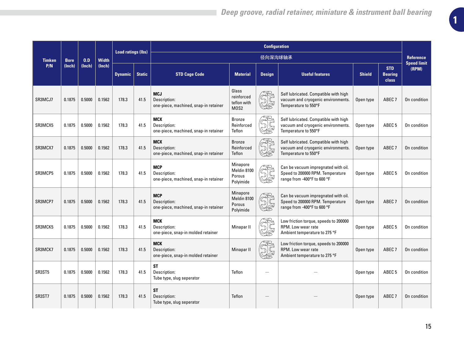|               |             |        |              | <b>Load ratings (lbs)</b> |               |                                                                     |                                                | <b>Configuration</b>                                                                                                                                                                                                                                                                                                                                |                                                                                                        |               |                                       |                                        |
|---------------|-------------|--------|--------------|---------------------------|---------------|---------------------------------------------------------------------|------------------------------------------------|-----------------------------------------------------------------------------------------------------------------------------------------------------------------------------------------------------------------------------------------------------------------------------------------------------------------------------------------------------|--------------------------------------------------------------------------------------------------------|---------------|---------------------------------------|----------------------------------------|
| <b>Timken</b> | <b>Bore</b> | 0.D    | <b>Width</b> |                           |               |                                                                     |                                                | 径向深沟球轴承                                                                                                                                                                                                                                                                                                                                             |                                                                                                        |               |                                       | <b>Reference</b><br><b>Speed limit</b> |
| P/N           | (Inch)      | (Inch) | (lnch)       | <b>Dynamic</b>            | <b>Static</b> | <b>STD Cage Code</b>                                                | <b>Material</b>                                | <b>Design</b>                                                                                                                                                                                                                                                                                                                                       | <b>Useful features</b>                                                                                 | <b>Shield</b> | <b>STD</b><br><b>Bearing</b><br>class | (RPM)                                  |
| SR3MCJ7       | 0.1875      | 0.5000 | 0.1562       | 178.3                     | 41.5          | <b>MCJ</b><br>Description:<br>one-piece, machined, snap-in retainer | Glass<br>reinforced<br>teflon with<br>MOS2     |                                                                                                                                                                                                                                                                                                                                                     | Self lubricated. Compatible with high<br>vacuum and cryogenic environments.<br>Temperature to 550°F    | Open type     | ABEC <sub>7</sub>                     | On condition                           |
| SR3MCX5       | 0.1875      | 0.5000 | 0.1562       | 178.3                     | 41.5          | <b>MCX</b><br>Description:<br>one-piece, machined, snap-in retainer | <b>Bronze</b><br>Reinforced<br>Teflon          |                                                                                                                                                                                                                                                                                                                                                     | Self lubricated. Compatible with high<br>vacuum and cryogenic environments.<br>Temperature to 550°F    | Open type     | ABEC <sub>5</sub>                     | On condition                           |
| SR3MCX7       | 0.1875      | 0.5000 | 0.1562       | 178.3                     | 41.5          | <b>MCX</b><br>Description:<br>one-piece, machined, snap-in retainer | <b>Bronze</b><br>Reinforced<br>Teflon          |                                                                                                                                                                                                                                                                                                                                                     | Self lubricated. Compatible with high<br>vacuum and cryogenic environments.<br>Temperature to 550°F    | Open type     | ABEC <sub>7</sub>                     | On condition                           |
| SR3MCP5       | 0.1875      | 0.5000 | 0.1562       | 178.3                     | 41.5          | <b>MCP</b><br>Description:<br>one-piece, machined, snap-in retainer | Minapore<br>Meldin 8100<br>Porous<br>Polyimide | $\begin{picture}(40,40) \put(0,0){\line(1,0){155}} \put(0,0){\line(1,0){155}} \put(0,0){\line(1,0){155}} \put(0,0){\line(1,0){155}} \put(0,0){\line(1,0){155}} \put(0,0){\line(1,0){155}} \put(0,0){\line(1,0){155}} \put(0,0){\line(1,0){155}} \put(0,0){\line(1,0){155}} \put(0,0){\line(1,0){155}} \put(0,0){\line(1,0){155}} \put(0,0){\line(1$ | Can be vacuum impregnated with oil.<br>Speed to 200000 RPM. Temperature<br>range from -400°F to 600 °F | Open type     | ABEC <sub>5</sub>                     | On condition                           |
| SR3MCP7       | 0.1875      | 0.5000 | 0.1562       | 178.3                     | 41.5          | <b>MCP</b><br>Description:<br>one-piece, machined, snap-in retainer | Minapore<br>Meldin 8100<br>Porous<br>Polyimide |                                                                                                                                                                                                                                                                                                                                                     | Can be vacuum impregnated with oil.<br>Speed to 200000 RPM. Temperature<br>range from -400°F to 600 °F | Open type     | ABEC <sub>7</sub>                     | On condition                           |
| SR3MCK5       | 0.1875      | 0.5000 | 0.1562       | 178.3                     | 41.5          | <b>MCK</b><br>Description:<br>one-piece, snap-in molded retainer    | Minapar II                                     |                                                                                                                                                                                                                                                                                                                                                     | Low friction torque, speeds to 200000<br>RPM. Low wear rate<br>Ambient temperature to 275 °F           | Open type     | ABEC <sub>5</sub>                     | On condition                           |
| SR3MCK7       | 0.1875      | 0.5000 | 0.1562       | 178.3                     | 41.5          | <b>MCK</b><br>Description:<br>one-piece, snap-in molded retainer    | Minapar II                                     |                                                                                                                                                                                                                                                                                                                                                     | Low friction torque, speeds to 200000<br>RPM. Low wear rate<br>Ambient temperature to 275 °F           | Open type     | ABEC <sub>7</sub>                     | On condition                           |
| SR3ST5        | 0.1875      | 0.5000 | 0.1562       | 178.3                     | 41.5          | <b>ST</b><br>Description:<br>Tube type, slug seperator              | Teflon                                         |                                                                                                                                                                                                                                                                                                                                                     |                                                                                                        | Open type     | ABEC <sub>5</sub>                     | On condition                           |
| SR3ST7        | 0.1875      | 0.5000 | 0.1562       | 178.3                     | 41.5          | <b>ST</b><br>Description:<br>Tube type, slug seperator              | Teflon                                         |                                                                                                                                                                                                                                                                                                                                                     |                                                                                                        | Open type     | ABEC <sub>7</sub>                     | On condition                           |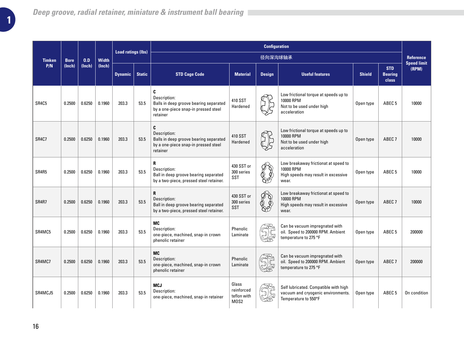|               |             |        |              | <b>Load ratings (lbs)</b> |               |                                                                                                                 |                                            | <b>Configuration</b>      |                                                                                                     |               |                                       |                                        |
|---------------|-------------|--------|--------------|---------------------------|---------------|-----------------------------------------------------------------------------------------------------------------|--------------------------------------------|---------------------------|-----------------------------------------------------------------------------------------------------|---------------|---------------------------------------|----------------------------------------|
| <b>Timken</b> | <b>Bore</b> | 0.D    | <b>Width</b> |                           |               |                                                                                                                 |                                            | 径向深沟球轴承                   |                                                                                                     |               |                                       | <b>Reference</b><br><b>Speed limit</b> |
| P/N           | (Inch)      | (Inch) | (lnch)       | <b>Dynamic</b>            | <b>Static</b> | <b>STD Cage Code</b>                                                                                            | <b>Material</b>                            | <b>Design</b>             | <b>Useful features</b>                                                                              | <b>Shield</b> | <b>STD</b><br><b>Bearing</b><br>class | (RPM)                                  |
| SR4C5         | 0.2500      | 0.6250 | 0.1960       | 203.3                     | 53.5          | C<br>Description:<br>Balls in deep groove bearing separated<br>by a one-piece snap-in pressed steel<br>retainer | 410 SST<br>Hardened                        |                           | Low frictional torque at speeds up to<br>10000 RPM<br>Not to be used under high<br>acceleration     | Open type     | ABEC <sub>5</sub>                     | 10000                                  |
| SR4C7         | 0.2500      | 0.6250 | 0.1960       | 203.3                     | 53.5          | C<br>Description:<br>Balls in deep groove bearing separated<br>by a one-piece snap-in pressed steel<br>retainer | 410 SST<br>Hardened                        |                           | Low frictional torque at speeds up to<br>10000 RPM<br>Not to be used under high<br>acceleration     | Open type     | ABEC <sub>7</sub>                     | 10000                                  |
| SR4R5         | 0.2500      | 0.6250 | 0.1960       | 203.3                     | 53.5          | R<br>Description:<br>Ball in deep groove bearing separated<br>by a two-piece, pressed steel retainer.           | 430 SST or<br>300 series<br>SST            |                           | Low breakaway frictionat at speed to<br>10000 RPM<br>High speeds may result in excessive<br>wear.   | Open type     | ABEC <sub>5</sub>                     | 10000                                  |
| SR4R7         | 0.2500      | 0.6250 | 0.1960       | 203.3                     | 53.5          | R<br>Description:<br>Ball in deep groove bearing separated<br>by a two-piece, pressed steel retainer.           | 430 SST or<br>300 series<br><b>SST</b>     | $\mathscr{D} \mathscr{D}$ | Low breakaway frictionat at speed to<br>10000 RPM<br>High speeds may result in excessive<br>wear.   | Open type     | ABEC <sub>7</sub>                     | 10000                                  |
| SR4MC5        | 0.2500      | 0.6250 | 0.1960       | 203.3                     | 53.5          | MC<br>Description:<br>one-piece, machined, snap-in crown<br>phenolic retainer                                   | Phenolic<br>Laminate                       |                           | Can be vacuum impregnated with<br>oil. Speed to 200000 RPM. Ambient<br>temperature to 275 °F        | Open type     | ABEC <sub>5</sub>                     | 200000                                 |
| SR4MC7        | 0.2500      | 0.6250 | 0.1960       | 203.3                     | 53.5          | MC<br>Description:<br>one-piece, machined, snap-in crown<br>phenolic retainer                                   | Phenolic<br>Laminate                       |                           | Can be vacuum impregnated with<br>oil. Speed to 200000 RPM. Ambient<br>temperature to 275 °F        | Open type     | ABEC <sub>7</sub>                     | 200000                                 |
| SR4MCJ5       | 0.2500      | 0.6250 | 0.1960       | 203.3                     | 53.5          | <b>MCJ</b><br>Description:<br>one-piece, machined, snap-in retainer                                             | Glass<br>reinforced<br>teflon with<br>MOS2 |                           | Self lubricated. Compatible with high<br>vacuum and cryogenic environments.<br>Temperature to 550°F | Open type     | ABEC <sub>5</sub>                     | On condition                           |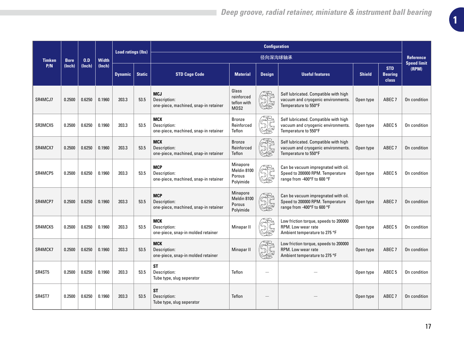|               |             |        |              |                           |               |                                                                                                                                                                                                   |                                                                                                                                                          | <b>Configuration</b> |                                                                                                        |                   |                                              |                                        |
|---------------|-------------|--------|--------------|---------------------------|---------------|---------------------------------------------------------------------------------------------------------------------------------------------------------------------------------------------------|----------------------------------------------------------------------------------------------------------------------------------------------------------|----------------------|--------------------------------------------------------------------------------------------------------|-------------------|----------------------------------------------|----------------------------------------|
| <b>Timken</b> | <b>Bore</b> | 0.D    | <b>Width</b> | <b>Load ratings (lbs)</b> |               |                                                                                                                                                                                                   |                                                                                                                                                          | 径向深沟球轴承              |                                                                                                        |                   |                                              | <b>Reference</b><br><b>Speed limit</b> |
| P/N           | (Inch)      | (Inch) | (lnch)       | <b>Dynamic</b>            | <b>Static</b> | <b>STD Cage Code</b>                                                                                                                                                                              | <b>Material</b>                                                                                                                                          | <b>Design</b>        | <b>Useful features</b>                                                                                 | <b>Shield</b>     | <b>STD</b><br><b>Bearing</b><br><b>class</b> | (RPM)                                  |
| SR4MCJ7       | 0.2500      | 0.6250 | 0.1960       | 203.3                     | 53.5          | <b>MCJ</b><br>Description:<br>one-piece, machined, snap-in retainer                                                                                                                               | Glass<br>reinforced<br>teflon with<br>MOS <sub>2</sub>                                                                                                   | Je<br>95             | Self lubricated. Compatible with high<br>vacuum and cryogenic environments.<br>Temperature to 550°F    | Open type         | ABEC <sub>7</sub>                            | On condition                           |
| SR3MCX5       | 0.2500      | 0.6250 | 0.1960       | 203.3                     | 53.5          | <b>MCX</b><br>Description:<br>one-piece, machined, snap-in retainer                                                                                                                               | <b>Bronze</b><br>Reinforced<br>Teflon<br>Temperature to 550°F<br><b>Bronze</b><br>Reinforced                                                             |                      | Self lubricated. Compatible with high<br>vacuum and cryogenic environments.                            | Open type         | ABEC <sub>5</sub>                            | On condition                           |
| SR4MCX7       | 0.2500      | 0.6250 | 0.1960       | 203.3                     | 53.5          | Self lubricated. Compatible with high<br><b>MCX</b><br><b>JE</b><br>vacuum and cryogenic environments.<br>Description:<br>one-piece, machined, snap-in retainer<br>Teflon<br>Temperature to 550°F |                                                                                                                                                          | Open type            | ABEC <sub>7</sub>                                                                                      | On condition      |                                              |                                        |
| SR4MCP5       | 0.2500      | 0.6250 | 0.1960       | 203.3                     | 53.5          | <b>MCP</b><br>Description:<br>one-piece, machined, snap-in retainer                                                                                                                               | Minapore<br>Can be vacuum impregnated with oil.<br>Meldin 8100<br>Speed to 200000 RPM. Temperature<br>Porous<br>range from -400°F to 600 °F<br>Polyimide |                      | Open type                                                                                              | ABEC <sub>5</sub> | On condition                                 |                                        |
| SR4MCP7       | 0.2500      | 0.6250 | 0.1960       | 203.3                     | 53.5          | <b>MCP</b><br>Description:<br>one-piece, machined, snap-in retainer                                                                                                                               | Minapore<br>Meldin 8100<br>Porous<br>Polyimide                                                                                                           | $\mathbb{Z}$         | Can be vacuum impregnated with oil.<br>Speed to 200000 RPM. Temperature<br>range from -400°F to 600 °F | Open type         | ABEC <sub>7</sub>                            | On condition                           |
| SR4MCK5       | 0.2500      | 0.6250 | 0.1960       | 203.3                     | 53.5          | <b>MCK</b><br>Description:<br>one-piece, snap-in molded retainer                                                                                                                                  | Minapar II                                                                                                                                               |                      | Low friction torque, speeds to 200000<br>RPM. Low wear rate<br>Ambient temperature to 275 °F           | Open type         | ABEC <sub>5</sub>                            | On condition                           |
| SR4MCK7       | 0.2500      | 0.6250 | 0.1960       | 203.3                     | 53.5          | <b>MCK</b><br>Description:<br>one-piece, snap-in molded retainer                                                                                                                                  | Minapar II                                                                                                                                               |                      | Low friction torque, speeds to 200000<br>RPM. Low wear rate<br>Ambient temperature to 275 °F           | Open type         | ABEC <sub>7</sub>                            | On condition                           |
| SR4ST5        | 0.2500      | 0.6250 | 0.1960       | 203.3                     | 53.5          | ST<br>Description:<br>Tube type, slug seperator                                                                                                                                                   | Teflon                                                                                                                                                   |                      |                                                                                                        | Open type         | ABEC <sub>5</sub>                            | On condition                           |
| SR4ST7        | 0.2500      | 0.6250 | 0.1960       | 203.3                     | 53.5          | <b>ST</b><br>Description:<br>Tube type, slug seperator                                                                                                                                            | Teflon                                                                                                                                                   |                      |                                                                                                        | Open type         | ABEC <sub>7</sub>                            | On condition                           |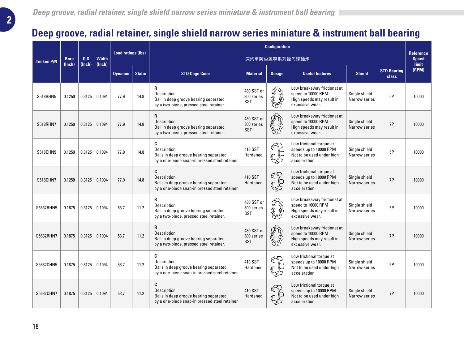### **Deep groove, radial retainer, single shield narrow series miniature & instrument ball bearing**

|                   |                       |               |                        |                           |               |                                                                                                                                                                                                                                                                                                                                                |                                        | <b>Configuration</b>           |                                                                                                   |                                |                             |                                           |
|-------------------|-----------------------|---------------|------------------------|---------------------------|---------------|------------------------------------------------------------------------------------------------------------------------------------------------------------------------------------------------------------------------------------------------------------------------------------------------------------------------------------------------|----------------------------------------|--------------------------------|---------------------------------------------------------------------------------------------------|--------------------------------|-----------------------------|-------------------------------------------|
| <b>Timken P/N</b> | <b>Bore</b><br>(Inch) | 0.D<br>(Inch) | <b>Width</b><br>(Inch) | <b>Load ratings (lbs)</b> |               |                                                                                                                                                                                                                                                                                                                                                |                                        |                                | 深沟单防尘盖窄系列径向球轴承                                                                                    |                                |                             | <b>Reference</b><br><b>Speed</b><br>limit |
|                   |                       |               |                        | <b>Dynamic</b>            | <b>Static</b> | <b>STD Cage Code</b>                                                                                                                                                                                                                                                                                                                           | <b>Material</b>                        | <b>Design</b>                  | <b>Useful features</b>                                                                            | <b>Shield</b>                  | <b>STD Bearing</b><br>class | (RPM)                                     |
| <b>S518RHN5</b>   | 0.1250                | 0.3125        | 0.1094                 | 77.9                      | 14.8          | R<br>Description:<br>Ball in deep groove bearing separated<br>by a two-piece, pressed steel retainer.                                                                                                                                                                                                                                          | 430 SST or<br>300 series<br><b>SST</b> | ∯<br>Ø<br>DP.                  | Low breakaway frictionat at<br>speed to 10000 RPM<br>High speeds may result in<br>excessive wear. | Single shield<br>Narrow series | 5P                          | 10000                                     |
| <b>S518RHN7</b>   | 0.1250                | 0.3125        | 0.1094                 | 77.9                      | 14.8          | R<br>Low breakaway frictionat at<br>ES<br>S<br>430 SST or<br>speed to 10000 RPM<br>Description:<br>300 series<br>Ball in deep groove bearing separated<br>High speeds may result in<br>SST<br>by a two-piece, pressed steel retainer.<br>excessive wear.<br>C<br>Low frictional torque at<br>410 SST<br>speeds up to 10000 RPM<br>Description: |                                        | Single shield<br>Narrow series | 7P                                                                                                | 10000                          |                             |                                           |
| <b>S518CHN5</b>   | 0.1250                | 0.3125        | 0.1094                 | 77.9                      | 14.8          | Hardened<br>Not to be used under high<br>Balls in deep groove bearing separated<br>acceleration<br>by a one-piece snap-in pressed steel retainer<br>C<br>Low frictional torque at                                                                                                                                                              |                                        | Single shield<br>Narrow series | 5P                                                                                                | 10000                          |                             |                                           |
| <b>S518CHN7</b>   | 0.1250                | 0.3125        | 0.1094                 | 77.9                      | 14.8          | 410 SST<br>speeds up to 10000 RPM<br>Description:<br>Balls in deep groove bearing separated<br>Hardened<br>Not to be used under high<br>by a one-piece snap-in pressed steel retainer<br>acceleration                                                                                                                                          |                                        | Single shield<br>Narrow series | 7P                                                                                                | 10000                          |                             |                                           |
| S5632RHN5         | 0.1875                | 0.3125        | 0.1094                 | 53.7                      | 11.2          | R<br>Description:<br>Ball in deep groove bearing separated<br>by a two-piece, pressed steel retainer.                                                                                                                                                                                                                                          | 430 SST or<br>300 series<br><b>SST</b> | ØÔ<br>87G                      | Low breakaway frictionat at<br>speed to 10000 RPM<br>High speeds may result in<br>excessive wear. | Single shield<br>Narrow series | 5P                          | 10000                                     |
| S5632RHN7         | 0.1875                | 0.3125        | 0.1094                 | 53.7                      | 11.2          | $\mathbf{R}$<br>Description:<br>Ball in deep groove bearing separated<br>by a two-piece, pressed steel retainer.                                                                                                                                                                                                                               | 430 SST or<br>300 series<br><b>SST</b> | F)<br>2<br>හිඒ                 | Low breakaway frictionat at<br>speed to 10000 RPM<br>High speeds may result in<br>excessive wear. | Single shield<br>Narrow series | 7P                          | 10000                                     |
| S5632CHN5         | 0.1875                | 0.3125        | 0.1094                 | 53.7                      | 11.2          | C<br>Description:<br>Balls in deep groove bearing separated<br>by a one-piece snap-in pressed steel retainer                                                                                                                                                                                                                                   | 410 SST<br>Hardened                    |                                | Low frictional torque at<br>speeds up to 10000 RPM<br>Not to be used under high<br>acceleration   | Single shield<br>Narrow series | 5P                          | 10000                                     |
| S5632CHN7         | 0.1875                | 0.3125        | 0.1094                 | 53.7                      | 11.2          | C<br>Description:<br>Balls in deep groove bearing separated<br>by a one-piece snap-in pressed steel retainer                                                                                                                                                                                                                                   | 410 SST<br>Hardened                    |                                | Low frictional torque at<br>speeds up to 10000 RPM<br>Not to be used under high<br>acceleration   | Single shield<br>Narrow series | 7P                          | 10000                                     |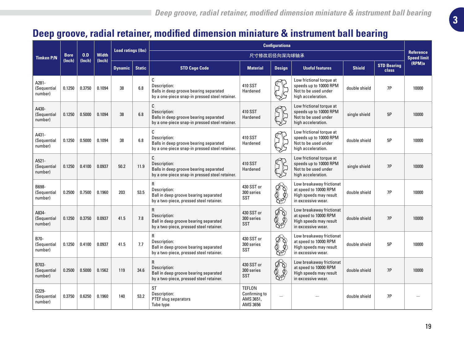# **3**

## **Deep groove, radial retainer, modified dimension miniature & instrument ball bearing**

|                                 |                       |               |                        | <b>Load ratings (lbs)</b> |               |                                                                                                                  |                                                         | <b>Configurationa</b> |                                                                                                   |               |                                    |                                        |
|---------------------------------|-----------------------|---------------|------------------------|---------------------------|---------------|------------------------------------------------------------------------------------------------------------------|---------------------------------------------------------|-----------------------|---------------------------------------------------------------------------------------------------|---------------|------------------------------------|----------------------------------------|
| <b>Timken P/N</b>               | <b>Bore</b><br>(lnch) | 0.D<br>(Inch) | <b>Width</b><br>(Inch) |                           |               |                                                                                                                  | 尺寸修改后径向深沟球轴承                                            |                       |                                                                                                   |               |                                    | <b>Reference</b><br><b>Speed limit</b> |
|                                 |                       |               |                        | <b>Dynamic</b>            | <b>Static</b> | <b>STD Cage Code</b>                                                                                             | <b>Material</b>                                         | <b>Design</b>         | <b>Useful features</b>                                                                            | <b>Shield</b> | <b>STD Bearing</b><br><b>class</b> | (RPM)a                                 |
| A281-<br>(Sequential<br>number) | 0.1250                | 0.3750        | 0.1094                 | 38                        | 6.8           | C<br>Description:<br>Balls in deep groove bearing separated<br>by a one-piece snap-in pressed steel retainer.    | 410 SST<br>Hardened                                     |                       | Low frictional torque at<br>speeds up to 10000 RPM<br>Not to be used under<br>high acceleration.  | double shield | 7P                                 | 10000                                  |
| A430-<br>(Sequential<br>number) | 0.1250                | 0.5000        | 0.1094                 | 38                        | 6.8           | C<br>Description:<br>Balls in deep groove bearing separated<br>by a one-piece snap-in pressed steel retainer.    | 410 SST<br>Hardened                                     |                       | Low frictional torque at<br>speeds up to 10000 RPM<br>Not to be used under<br>high acceleration.  | single shield | 5P                                 | 10000                                  |
| A431-<br>(Sequential<br>number) | 0.1250                | 0.5000        | 0.1094                 | 38                        | 6.8           | C<br>Description:<br>Balls in deep groove bearing separated<br>by a one-piece snap-in pressed steel retainer.    | 410 SST<br>Hardened                                     |                       | Low frictional torque at<br>speeds up to 10000 RPM<br>Not to be used under<br>high acceleration.  | double shield | 5P                                 | 10000                                  |
| A521-<br>(Sequential<br>number) | 0.1250                | 0.4100        | 0.0937                 | 50.2                      | 11.9          | C<br>Description:<br>Balls in deep groove bearing separated<br>by a one-piece snap-in pressed steel retainer.    | 410 SST<br>Hardened                                     |                       | Low frictional torque at<br>speeds up to 10000 RPM<br>Not to be used under<br>high acceleration.  | single shield | 7P                                 | 10000                                  |
| B698-<br>(Sequential<br>number) | 0.2500                | 0.7500        | 0.1960                 | 203                       | 53.5          | ${\sf R}$<br>Description:<br>Ball in deep groove bearing separated<br>by a two-piece, pressed steel retainer.    | 430 SST or<br>300 series<br><b>SST</b>                  | ES.<br>P<br>හිච       | Low breakaway frictionat<br>at speed to 10000 RPM<br>High speeds may result<br>in excessive wear. | double shield | 7P                                 | 10000                                  |
| A834-<br>(Sequential<br>number) | 0.1250                | 0.3750        | 0.0937                 | 41.5                      | 7.8           | $\mathsf{R}$<br>Description:<br>Ball in deep groove bearing separated<br>by a two-piece, pressed steel retainer. | 430 SST or<br>300 series<br><b>SST</b>                  | Q<br>DÓ               | Low breakaway frictionat<br>at speed to 10000 RPM<br>High speeds may result<br>in excessive wear. | double shield | 7P                                 | 10000                                  |
| B70-<br>(Sequential<br>number)  | 0.1250                | 0.4100        | 0.0937                 | 41.5                      | 7.7           | R<br>Description:<br>Ball in deep groove bearing separated<br>by a two-piece, pressed steel retainer.            | 430 SST or<br>300 series<br>SST                         | 8G                    | Low breakaway frictionat<br>at speed to 10000 RPM<br>High speeds may result<br>in excessive wear. | double shield | 5P                                 | 10000                                  |
| B703-<br>(Sequential<br>number) | 0.2500                | 0.5000        | 0.1562                 | 119                       | 34.6          | R<br>Description:<br>Ball in deep groove bearing separated<br>by a two-piece, pressed steel retainer.            | 430 SST or<br>300 series<br>SST                         | 88                    | Low breakaway frictionat<br>at speed to 10000 RPM<br>High speeds may result<br>in excessive wear. | double shield | 7P                                 | 10000                                  |
| G229-<br>(Sequential<br>number) | 0.3750                | 0.6250        | 0.1960                 | 140                       | 53.2          | <b>ST</b><br>Description:<br>PTEF slug separators<br>Tube type                                                   | <b>TEFLON</b><br>Confirming to<br>AMS 3651,<br>AMS 3656 |                       |                                                                                                   | double shield | 7P                                 |                                        |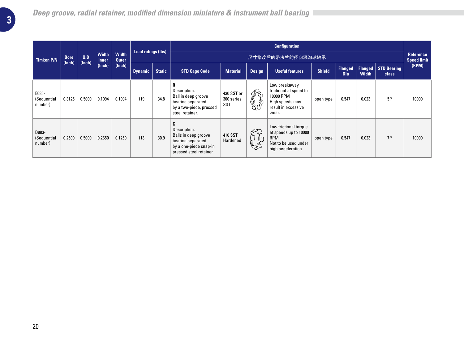|                                 |                       |               |                              |                              | <b>Load ratings (lbs)</b> |               |                                                                                                                     |                                 |                      | <b>Configuration</b>                                                                                      |               |                       |                         |                      |                                 |
|---------------------------------|-----------------------|---------------|------------------------------|------------------------------|---------------------------|---------------|---------------------------------------------------------------------------------------------------------------------|---------------------------------|----------------------|-----------------------------------------------------------------------------------------------------------|---------------|-----------------------|-------------------------|----------------------|---------------------------------|
| <b>Timken P/N</b>               | <b>Bore</b><br>(Inch) | 0.D<br>(Inch) | <b>Width</b><br><b>Inner</b> | <b>Width</b><br><b>Outer</b> |                           |               |                                                                                                                     |                                 |                      | 尺寸修改后的带法兰的径向深沟球轴承                                                                                         |               |                       |                         |                      | Reference<br><b>Speed limit</b> |
|                                 |                       |               | (Inch)                       | (Inch)                       | <b>Dynamic</b>            | <b>Static</b> | <b>STD Cage Code</b>                                                                                                | <b>Material</b>                 | <b>Design</b>        | <b>Useful features</b>                                                                                    | <b>Shield</b> | Flanged<br><b>Dia</b> | Flanged<br><b>Width</b> | STD Bearing<br>class | (RPM)                           |
| E685-<br>(Sequential<br>number) | 0.3125                | 0.5000        | 0.1094                       | 0.1094                       | 119                       | 34.8          | R<br>Description:<br>Ball in deep groove<br>bearing separated<br>by a two-piece, pressed<br>steel retainer.         | 430 SST or<br>300 series<br>SST | ᠹੈѶ<br>$\frac{1}{2}$ | Low breakaway<br>frictionat at speed to<br>10000 RPM<br>High speeds may<br>result in excessive<br>wear.   | open type     | 0.547                 | 0.023                   | 5P                   | 10000                           |
| D983-<br>(Sequential<br>number) | 0.2500                | 0.5000        | 0.2650                       | 0.1250                       | 113                       | 30.9          | C<br>Description:<br>Balls in deep groove<br>bearing separated<br>by a one-piece snap-in<br>pressed steel retainer. | 410 SST<br>Hardened             | ∕₹<br>$\mathbb{R}$   | Low frictional torque<br>at speeds up to 10000<br><b>RPM</b><br>Not to be used under<br>high acceleration | open type     | 0.547                 | 0.023                   | 7P                   | 10000                           |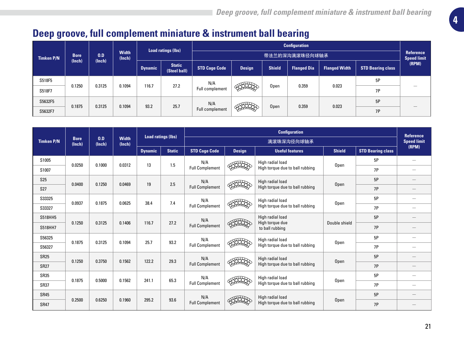# **Deep groove, full complement miniature & instrument ball bearing**

|                   |             |        |                 |                |                               |                        |               |               | <b>Configuration</b> |                      |                          |                                 |
|-------------------|-------------|--------|-----------------|----------------|-------------------------------|------------------------|---------------|---------------|----------------------|----------------------|--------------------------|---------------------------------|
| <b>Timken P/N</b> | <b>Bore</b> | 0.D    | Width<br>(Inch) |                | Load ratings (lbs)            |                        |               |               | 带法兰的深沟满滚珠径向球轴承       |                      |                          | Reference<br><b>Speed limit</b> |
|                   | (Inch)      | (Inch) |                 | <b>Dynamic</b> | <b>Static</b><br>(Steel ball) | <b>STD Cage Code</b>   | <b>Design</b> | <b>Shield</b> | <b>Flanged Dia</b>   | <b>Flanged Width</b> | <b>STD Bearing class</b> | (RPM)                           |
| S518F5            |             |        |                 |                |                               | N/A                    |               |               |                      |                      | 5P                       |                                 |
| S518F7            | 0.1250      | 0.3125 | 0.1094          | 116.7          | 27.2                          | Full complement        |               | Open          | 0.359                | 0.023                | <b>7P</b>                |                                 |
| S5632F5           | 0.1875      | 0.3125 | 0.1094          | 93.2           | 25.7                          | N/A                    |               |               | 0.359                | 0.023                | 5P                       |                                 |
| S5632F7           |             |        |                 |                |                               | <b>Full complement</b> |               | Open          |                      |                      | 7P                       |                                 |

|                   |                       |               |                        | <b>Load ratings (lbs)</b> |                        |                        |                                 | <b>Configuration</b>               |               |                          | <b>Reference</b>              |
|-------------------|-----------------------|---------------|------------------------|---------------------------|------------------------|------------------------|---------------------------------|------------------------------------|---------------|--------------------------|-------------------------------|
| <b>Timken P/N</b> | <b>Bore</b><br>(Inch) | 0.D<br>(Inch) | <b>Width</b><br>(Inch) |                           |                        |                        |                                 | 满滚珠深沟径向球轴承                         |               |                          | <b>Speed limit</b>            |
|                   |                       |               |                        | <b>Dynamic</b>            | <b>Static</b>          | <b>STD Cage Code</b>   | <b>Design</b>                   | <b>Useful features</b>             | <b>Shield</b> | <b>STD Bearing class</b> | (RPM)                         |
| S1005             |                       | 0.1000        | 0.0312                 | 13                        |                        | N/A                    |                                 | High radial load                   |               | 5P                       | $\overline{\phantom{0}}$      |
| S1007             | 0.0250                |               |                        |                           | 1.5                    | <b>Full Complement</b> |                                 | High torque due to ball rubbing    | Open          | 7P                       | $\overline{\phantom{0}}$      |
| <b>S25</b>        | 0.0400                | 0.1250        | 0.0469                 | 19                        | 2.5                    | N/A                    |                                 | High radial load                   | Open          | 5P                       |                               |
| S <sub>27</sub>   |                       |               |                        |                           |                        | <b>Full Complement</b> |                                 | High torque due to ball rubbing    |               | 7P                       |                               |
| S33325            | 0.0937                | 0.1875        | 0.0625                 | 38.4                      | 7.4                    | N/A                    |                                 | High radial load                   | Open          | 5P                       | $\overbrace{\phantom{12333}}$ |
| S33327            |                       |               |                        |                           |                        | <b>Full Complement</b> |                                 | High torque due to ball rubbing    |               | 7P                       | $\overline{\phantom{0}}$      |
| S518HH5           |                       |               | 0.1406                 |                           |                        | N/A                    |                                 | High radial load                   |               | 5P                       | -                             |
| S518HH7           | 0.1250                | 0.3125        |                        | 116.7                     | 27.2                   | <b>Full Complement</b> |                                 | High torque due<br>to ball rubbing | Double shield | 7P                       |                               |
| S56325            | 0.1875                | 0.3125        | 0.1094                 | 25.7                      | 93.2                   | N/A                    |                                 | High radial load                   | Open          | 5P                       | $\overbrace{\phantom{12333}}$ |
| S56327            |                       |               |                        |                           |                        | <b>Full Complement</b> |                                 | High torque due to ball rubbing    |               | 7P                       | $\overline{\phantom{0}}$      |
| <b>SR25</b>       | 0.1250                | 0.3750        | 0.1562                 | 122.2                     | 29.3                   | N/A                    |                                 | High radial load                   | Open          | 5P                       |                               |
| <b>SR27</b>       |                       |               |                        |                           |                        | <b>Full Complement</b> |                                 | High torque due to ball rubbing    |               | 7P                       | —                             |
| <b>SR35</b>       | 0.1875                |               | 0.1562                 | 241.1                     | 65.3                   | N/A                    |                                 | High radial load                   | Open          | 5P                       | $\overbrace{\phantom{12333}}$ |
| <b>SR37</b>       |                       | 0.5000        |                        |                           |                        | <b>Full Complement</b> |                                 | High torque due to ball rubbing    |               | 7P                       | $\overline{\phantom{0}}$      |
| <b>SR45</b>       |                       |               |                        | 295.2                     | 93.6                   | N/A                    |                                 | High radial load                   |               | 5P                       |                               |
| <b>SR47</b>       | 0.2500<br>0.6250      | 0.1960        |                        |                           | <b>Full Complement</b> |                        | High torque due to ball rubbing | Open                               | 7P            |                          |                               |

**4**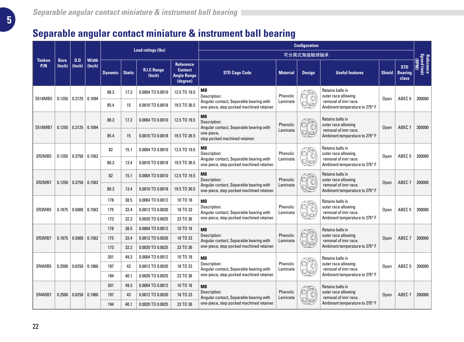## **Separable angular contact miniature & instrument ball bearing**

|                      |                                           |                                                      |                        |                                                               |               | <b>Load ratings (lbs)</b>    |                                                                                             |                                                                                      |                      | <b>Configuration</b>                                          |                                                         |               |                                       |                                                |
|----------------------|-------------------------------------------|------------------------------------------------------|------------------------|---------------------------------------------------------------|---------------|------------------------------|---------------------------------------------------------------------------------------------|--------------------------------------------------------------------------------------|----------------------|---------------------------------------------------------------|---------------------------------------------------------|---------------|---------------------------------------|------------------------------------------------|
|                      |                                           |                                                      |                        |                                                               |               |                              |                                                                                             |                                                                                      |                      | 可分离式角接触球轴承                                                    |                                                         |               |                                       |                                                |
| <b>Timken</b><br>P/N | <b>Bore</b><br>(Inch)                     | 0.D<br>(Inch)                                        | <b>Width</b><br>(Inch) | <b>Dynamic</b>                                                | <b>Static</b> | <b>R.I.C Range</b><br>(Inch) | Reference<br><b>Contact</b><br><b>Angle Range</b><br>(degree)                               | <b>STD Cage Code</b>                                                                 | <b>Material</b>      | <b>Design</b>                                                 | <b>Useful features</b>                                  | <b>Shield</b> | <b>STD</b><br><b>Bearing</b><br>class | Reference<br>Speed limit<br>(M <sub>d</sub> H) |
| S518MB5              | 0.1250                                    | 0.3125                                               | 0.1094                 | 88.3                                                          | 17.2          | 0.0004 TO 0.0010             | 12.5 TO 19.5                                                                                | MВ<br>Description:                                                                   | Phenolic             |                                                               | Retains balls in<br>outer race allowing                 | Open          | ABEC <sub>5</sub>                     | 200000                                         |
|                      |                                           |                                                      |                        | 85.4                                                          | 15            | 0.0010 TO 0.0018             | 19.5 TO 26.5                                                                                | Angular contact, Separable bearing with<br>one-piece, step pocked machined retainer. | Laminate             | 0\0                                                           | removal of innr race.<br>Ambinent temperature to 275° F |               |                                       |                                                |
| S518MB7              | 0.1250                                    | 88.3<br>0.0004 TO 0.0010<br>17.2<br>0.3125<br>0.1094 | 12.5 TO 19.5           | MВ<br>Description:<br>Angular contact, Separable bearing with | Phenolic      |                              | Retains balls in<br>outer race allowing                                                     | Open                                                                                 | ABEC <sub>7</sub>    | 200000                                                        |                                                         |               |                                       |                                                |
|                      |                                           |                                                      |                        | 85.4                                                          | 15            | 0.0010 TO 0.0018             | 19.5 TO 26.5                                                                                | one-piece.<br>step pocked machined retainer.                                         | Laminate             | $\odot$                                                       | removal of innr race.<br>Ambinent temperature to 275° F |               |                                       |                                                |
| SR2MB5               | 0.1250                                    | 0.3750                                               | 0.1562                 | 82                                                            | 15.1          | 0.0004 TO 0.0010             | 12.5 TO 19.5                                                                                | MВ<br>Description:                                                                   | Phenolic             |                                                               | Retains balls in<br>outer race allowing                 | Open          | ABEC <sub>5</sub>                     | 200000                                         |
|                      |                                           |                                                      |                        | 80.3                                                          | 13.4          | 0.0010 TO 0.0018             | 19.5 TO 26.5                                                                                | Angular contact, Separable bearing with<br>one-piece, step pocked machined retainer. | Laminate             | \0                                                            | removal of innr race.<br>Ambinent temperature to 275° F |               |                                       |                                                |
|                      | SR <sub>2</sub> MB <sub>7</sub><br>0.1250 | 0.3750                                               | 0.1562                 | 82                                                            | 15.1          | 0.0004 TO 0.0010             | 12.5 TO 19.5                                                                                | MВ<br>Description:                                                                   | Phenolic             | $\sqrt{\frac{1}{2}}$                                          | Retains balls in<br>outer race allowing                 | Open          | ABEC <sub>7</sub>                     | 200000                                         |
|                      |                                           |                                                      |                        | 80.3                                                          | 13.4          | 0.0010 TO 0.0018             | 19.5 TO 26.5                                                                                | Angular contact, Separable bearing with<br>one-piece, step pocked machined retainer. | Laminate             | $\overline{\mathbb{Q}}$<br>\0                                 | removal of innr race.<br>Ambinent temperature to 275° F |               |                                       |                                                |
|                      |                                           |                                                      |                        | 178<br>38.5<br>0.0004 TO 0.0012<br>10 TO 18<br><b>MB</b>      |               |                              | Retains balls in                                                                            |                                                                                      |                      |                                                               |                                                         |               |                                       |                                                |
| SR3MB5               | 0.1875                                    | 0.5000                                               | 0.1562                 | 175                                                           | 33.4          | 0.0012 TO 0.0020             | 18 TO 23                                                                                    | Description:<br>Angular contact, Separable bearing with                              | Phenolic<br>Laminate | $\mathbb{C}$<br>$\mathbb{N}$ ð                                | outer race allowing<br>removal of innr race.            | Open          | ABEC <sub>5</sub>                     | 200000                                         |
|                      |                                           |                                                      |                        | 173                                                           | 32.2          | 0.0020 TO 0.0025             | 23 TO 26                                                                                    | one-piece, step pocked machined retainer.                                            |                      |                                                               | Ambinent temperature to 275° F                          |               |                                       |                                                |
|                      |                                           |                                                      |                        | 178                                                           | 38.5          | 0.0004 TO 0.0012             | 10 TO 18                                                                                    | <b>MB</b>                                                                            |                      |                                                               | Retains balls in                                        |               |                                       |                                                |
| SR3MB7               | 0.1875                                    | 0.5000                                               | 0.1562                 | 175                                                           | 33.4          | 0.0012 TO 0.0020             | 18 TO 23                                                                                    | Description:<br>Angular contact, Separable bearing with                              | Phenolic<br>Laminate | $\mathbb{C}$<br>$\mathbb{Q}\!\!\!\!\downarrow\!\!\!\circ\!\!$ | outer race allowing<br>removal of innr race.            | Open          | ABEC <sub>7</sub>                     | 200000                                         |
|                      |                                           |                                                      |                        | 173                                                           | 32.2          | 0.0020 TO 0.0025             | 23 TO 26                                                                                    | one-piece, step pocked machined retainer.                                            |                      |                                                               | Ambinent temperature to 275° F                          |               |                                       |                                                |
|                      |                                           |                                                      |                        | 201                                                           | 49.3          | 0.0004 TO 0.0012             | 10 TO 18                                                                                    | <b>MB</b>                                                                            |                      |                                                               | Retains balls in                                        |               |                                       |                                                |
| SR4MB5               | 0.2500                                    | 0.6250                                               | 0.1960                 | 197                                                           | 43            | 0.0012 TO 0.0020             | 18 TO 23                                                                                    | Description:<br>Angular contact, Separable bearing with                              | Phenolic<br>Laminate | $\mathbb{C}$<br>0\5                                           | outer race allowing<br>removal of innr race.            | Open          | ABEC <sub>5</sub>                     | 200000                                         |
|                      |                                           |                                                      |                        | 194                                                           | 40.1          | 0.0020 TO 0.0025             | 23 TO 26                                                                                    | one-piece, step pocked machined retainer.                                            |                      | Ambinent temperature to 275° F                                |                                                         |               |                                       |                                                |
|                      |                                           |                                                      |                        | 201                                                           | 49.3          | 0.0004 TO 0.0012             | 10 TO 18                                                                                    | <b>MB</b>                                                                            |                      | Retains balls in                                              |                                                         |               |                                       |                                                |
| SR4MB7               | 0.2500                                    | 0.6250                                               | 0.1960                 | 197                                                           | 43            | 0.0012 TO 0.0020             | Phenolic<br>Description:<br>18 TO 23<br>Angular contact, Separable bearing with<br>Laminate | outer race allowing<br>removal of innr race.                                         | Open                 | ABEC <sub>7</sub>                                             | 200000                                                  |               |                                       |                                                |
|                      |                                           |                                                      |                        | 194                                                           | 40.1          | 0.0020 TO 0.0025             | 23 TO 26                                                                                    | one-piece, step pocked machined retainer.                                            |                      |                                                               | Ambinent temperature to 275° F                          |               |                                       |                                                |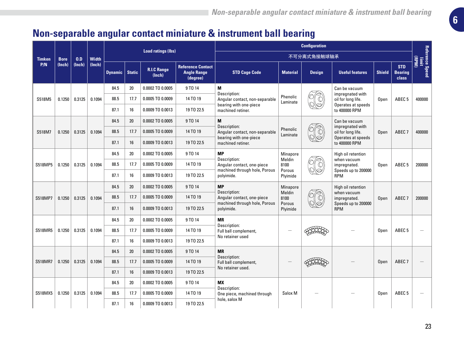# **Non-separable angular contact miniature & instrument ball bearing**

|               |             |        |              | <b>Load ratings (lbs)</b> |               |                              |                                                            | <b>Configuration</b>                                        |                      |               |                                        |               |                                       |                          |
|---------------|-------------|--------|--------------|---------------------------|---------------|------------------------------|------------------------------------------------------------|-------------------------------------------------------------|----------------------|---------------|----------------------------------------|---------------|---------------------------------------|--------------------------|
| <b>Timken</b> | <b>Bore</b> | 0.D    | <b>Width</b> |                           |               |                              |                                                            |                                                             |                      | 不可分离式角接触球轴承   |                                        |               |                                       | (Mdd)                    |
| P/N           | (Inch)      | (Inch) | (Inch)       | <b>Dynamic</b>            | <b>Static</b> | <b>R.I.C Range</b><br>(Inch) | <b>Reference Contact</b><br><b>Angle Range</b><br>(degree) | <b>STD Cage Code</b>                                        | <b>Material</b>      | <b>Design</b> | <b>Useful features</b>                 | <b>Shield</b> | <b>STD</b><br><b>Bearing</b><br>class | Reference Speed<br>Innit |
|               |             |        |              | 84.5                      | 20            | 0.0002 TO 0.0005             | 9 TO 14                                                    | M<br>Description:                                           |                      |               | Can be vacuum<br>impreanated with      |               |                                       |                          |
| S518M5        | 0.1250      | 0.3125 | 0.1094       | 88.5                      | 17.7          | 0.0005 TO 0.0009             | 14 TO 19                                                   | Angular contact, non-separable                              | Phenolic<br>Laminate |               | oil for long life.                     | Open          | ABEC <sub>5</sub>                     | 400000                   |
|               |             |        |              | 87.1                      | 16            | 0.0009 TO 0.0013             | 19 TO 22.5                                                 | bearing with one-piece<br>machined retiner.                 |                      |               | Operates at speeds<br>to 400000 RPM    |               |                                       |                          |
|               |             |        |              | 84.5                      | 20            | 0.0002 TO 0.0005             | 9 TO 14                                                    | M                                                           |                      |               | Can be vacuum                          |               |                                       |                          |
| S518M7        | 0.1250      | 0.3125 | 0.1094       | 88.5                      | 17.7          | 0.0005 TO 0.0009             | 14 TO 19                                                   | Description:<br>Angular contact, non-separable              | Phenolic<br>Laminate |               | impregnated with<br>oil for long life. | Open          | ABEC <sub>7</sub>                     | 400000                   |
|               |             |        |              | 87.1                      | 16            | 0.0009 TO 0.0013             | 19 TO 22.5                                                 | bearing with one-piece<br>machined retiner.                 |                      |               | Operates at speeds<br>to 400000 RPM    |               |                                       |                          |
|               |             |        |              | 84.5                      | 20            | 0.0002 TO 0.0005             | 9 TO 14                                                    | <b>MP</b><br>Description:                                   | Minapore             |               | High oil retention                     |               |                                       |                          |
| S518MP5       | 0.1250      | 0.3125 | 0.1094       | 88.5                      | 17.7          | 0.0005 TO 0.0009             | 14 TO 19                                                   | Angular contact, one-piece                                  | Meldin<br>8100       |               | when vacuum<br>impregnated.            | Open          | ABEC <sub>5</sub>                     | 200000                   |
|               |             |        |              | 87.1                      | 16            | 0.0009 TO 0.0013             | 19 TO 22.5                                                 | machined through hole, Porous<br>polyimide.                 | Porous<br>Plyimide   |               | Speeds up to 200000<br>RPM             |               |                                       |                          |
|               |             |        |              | 84.5                      | 20            | 0.0002 TO 0.0005             | 9 TO 14                                                    | <b>MP</b><br>Description:                                   | Minapore             |               | High oil retention                     |               |                                       |                          |
| S518MP7       | 0.1250      | 0.3125 | 0.1094       | 88.5                      | 17.7          | 0.0005 TO 0.0009             | 14 TO 19                                                   | Angular contact, one-piece<br>machined through hole, Porous | Meldin<br>8100       |               | when vacuum<br>impregnated.            | Open          | ABEC <sub>7</sub>                     | 200000                   |
|               |             |        |              | 87.1                      | 16            | 0.0009 TO 0.0013             | 19 TO 22.5                                                 | polyimide.                                                  | Porous<br>Plyimide   |               | Speeds up to 200000<br><b>RPM</b>      |               |                                       |                          |
|               |             |        |              | 84.5                      | 20            | 0.0002 TO 0.0005             | 9 TO 14                                                    | <b>MR</b>                                                   |                      |               |                                        |               |                                       |                          |
| S518MR5       | 0.1250      | 0.3125 | 0.1094       | 88.5                      | 17.7          | 0.0005 TO 0.0009             | 14 TO 19                                                   | Description:<br>Full ball complement,                       |                      |               |                                        | Open          | ABEC <sub>5</sub>                     |                          |
|               |             |        |              | 87.1                      | 16            | 0.0009 TO 0.0013             | 19 TO 22.5                                                 | No retainer used                                            |                      |               |                                        |               |                                       |                          |
|               |             |        |              | 84.5                      | 20            | 0.0002 TO 0.0005             | 9 TO 14                                                    | <b>MR</b><br>Description:                                   |                      |               |                                        |               |                                       |                          |
| S518MR7       | 0.1250      | 0.3125 | 0.1094       | 88.5                      | 17.7          | 0.0005 TO 0.0009             | 14 TO 19                                                   | Full ball complement,                                       |                      |               |                                        | Open          | ABEC <sub>7</sub>                     |                          |
|               |             |        |              | 87.1                      | 16            | 0.0009 TO 0.0013             | 19 TO 22.5                                                 | No retainer used.                                           |                      |               |                                        |               |                                       |                          |
|               |             |        |              | 84.5                      | 20            | 0.0002 TO 0.0005             | 9 TO 14                                                    | <b>MX</b>                                                   |                      |               |                                        |               |                                       |                          |
| S518MX5       | 0.1250      | 0.3125 | 0.1094       | 88.5                      | 17.7          | 0.0005 TO 0.0009             | 14 TO 19                                                   | Description:<br>One piece, machined through                 | Salox M              |               |                                        | Open          | ABEC <sub>5</sub>                     |                          |
|               |             | 87.1   | 16           | 0.0009 TO 0.0013          | 19 TO 22.5    | hole, salox M                |                                                            |                                                             |                      |               |                                        |               |                                       |                          |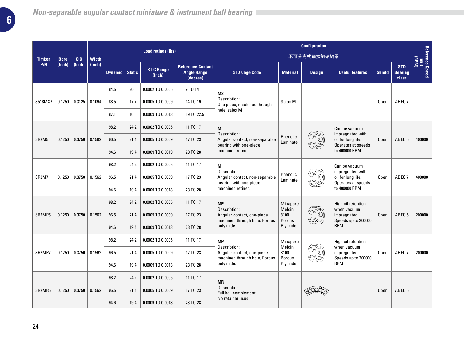|                                           |             |        |              | <b>Load ratings (lbs)</b> |                  |                              |                                                                          |                                                                                          | <b>Configuration</b>     |                                                              |                                                              |                   |                                              |                          |
|-------------------------------------------|-------------|--------|--------------|---------------------------|------------------|------------------------------|--------------------------------------------------------------------------|------------------------------------------------------------------------------------------|--------------------------|--------------------------------------------------------------|--------------------------------------------------------------|-------------------|----------------------------------------------|--------------------------|
| <b>Timken</b>                             | <b>Bore</b> | 0.D    | <b>Width</b> |                           |                  |                              |                                                                          |                                                                                          |                          | 不可分离式角接触球轴承                                                  |                                                              |                   |                                              | (Md)                     |
| P/N                                       | (Inch)      | (Inch) | (Inch)       | <b>Dynamic</b>            | <b>Static</b>    | <b>R.I.C Range</b><br>(Inch) | <b>Reference Contact</b><br><b>Angle Range</b><br>(degree)               | <b>STD Cage Code</b>                                                                     | <b>Material</b>          | <b>Design</b>                                                | <b>Useful features</b>                                       | <b>Shield</b>     | <b>STD</b><br><b>Bearing</b><br><b>class</b> | Reference Speed<br>limit |
|                                           |             |        |              | 84.5                      | 20               | 0.0002 TO 0.0005             | 9 TO 14                                                                  | <b>MX</b>                                                                                |                          |                                                              |                                                              |                   |                                              |                          |
| S518MX7                                   | 0.1250      | 0.3125 | 0.1094       | 88.5                      | 17.7             | 0.0005 TO 0.0009             | 14 TO 19                                                                 | Description:<br>One piece, machined through                                              | Salox M                  |                                                              |                                                              | Open              | ABEC <sub>7</sub>                            |                          |
|                                           |             |        |              | 87.1                      | 16               | 0.0009 TO 0.0013             | 19 TO 22.5                                                               | hole, salox M                                                                            |                          |                                                              |                                                              |                   |                                              |                          |
|                                           |             |        |              | 98.2                      | 24.2             | 0.0002 TO 0.0005             | 11 TO 17                                                                 | M                                                                                        |                          |                                                              | Can be vacuum                                                |                   |                                              |                          |
| SR <sub>2M5</sub>                         | 0.1250      | 0.3750 | 0.1562       | 96.5                      | 21.4             | 0.0005 TO 0.0009             | 17 TO 23                                                                 | Description:<br>Angular contact, non-separable<br>bearing with one-piece                 | Phenolic<br>Laminate     |                                                              | impregnated with<br>oil for long life.<br>Operates at speeds | Open              | ABEC <sub>5</sub>                            | 400000                   |
|                                           |             |        |              | 94.6                      | 19.4             | 0.0009 TO 0.0013             | 23 TO 28                                                                 | machined retiner.                                                                        |                          |                                                              | to 400000 RPM                                                |                   |                                              |                          |
| SR <sub>2</sub> M <sub>7</sub><br>0.1250  |             |        |              | 98.2                      | 24.2             | 0.0002 TO 0.0005             | 11 TO 17                                                                 | M                                                                                        |                          |                                                              | Can be vacuum                                                |                   |                                              |                          |
|                                           | 0.3750      | 0.1562 | 96.5         | 21.4                      | 0.0005 TO 0.0009 | 17 TO 23                     | Description:<br>Angular contact, non-separable<br>bearing with one-piece | Phenolic<br>Laminate                                                                     |                          | impregnated with<br>oil for long life.<br>Operates at speeds | Open                                                         | ABEC <sub>7</sub> | 400000                                       |                          |
|                                           |             |        |              | 94.6                      | 19.4             | 0.0009 TO 0.0013             | 23 TO 28                                                                 | machined retiner.                                                                        |                          |                                                              | to 400000 RPM                                                |                   |                                              |                          |
|                                           |             |        |              | 98.2                      | 24.2             | 0.0002 TO 0.0005             | 11 TO 17                                                                 | <b>MP</b><br>Description:<br>Angular contact, one-piece<br>machined through hole, Porous | Minapore                 |                                                              | High oil retention                                           |                   |                                              |                          |
| SR <sub>2</sub> MP <sub>5</sub>           | 0.1250      | 0.3750 | 0.1562       | 96.5                      | 21.4             | 0.0005 TO 0.0009             | 17 TO 23                                                                 |                                                                                          | Meldin<br>8100<br>Porous |                                                              | when vacuum<br>impregnated.<br>Speeds up to 200000           | Open              | ABEC <sub>5</sub>                            | 200000                   |
|                                           |             |        |              | 94.6                      | 19.4             | 0.0009 TO 0.0013             | 23 TO 28                                                                 | polyimide.                                                                               | Plyimide                 |                                                              | RPM                                                          |                   |                                              |                          |
|                                           |             |        |              | 98.2                      | 24.2             | 0.0002 TO 0.0005             | 11 TO 17                                                                 | <b>MP</b>                                                                                | Minapore                 |                                                              | High oil retention                                           |                   |                                              |                          |
| SR2MP7                                    | 0.1250      | 0.3750 | 0.1562       | 96.5                      | 21.4             | 0.0005 TO 0.0009             | 17 TO 23                                                                 | Description:<br>Angular contact, one-piece<br>machined through hole, Porous              | Meldin<br>8100<br>Porous |                                                              | when vacuum<br>impregnated.<br>Speeds up to 200000           | Open              | ABEC <sub>7</sub>                            | 200000                   |
|                                           |             |        |              | 94.6                      | 19.4             | 0.0009 TO 0.0013             | 23 TO 28                                                                 | polyimide.                                                                               | Plyimide                 |                                                              | <b>RPM</b>                                                   |                   |                                              |                          |
| SR <sub>2</sub> MR <sub>5</sub><br>0.1250 |             |        | 98.2         | 24.2                      | 0.0002 TO 0.0005 | 11 TO 17                     | <b>MR</b>                                                                |                                                                                          |                          |                                                              |                                                              |                   |                                              |                          |
|                                           |             | 0.3750 | 0.1562       | 96.5                      | 21.4             | 0.0005 TO 0.0009             | 17 TO 23                                                                 | Description:<br>Full ball complement,                                                    |                          |                                                              | Open                                                         | ABEC <sub>5</sub> |                                              |                          |
|                                           |             |        | 94.6         | 19.4                      | 0.0009 TO 0.0013 | 23 TO 28                     | No retainer used.                                                        |                                                                                          |                          |                                                              |                                                              |                   |                                              |                          |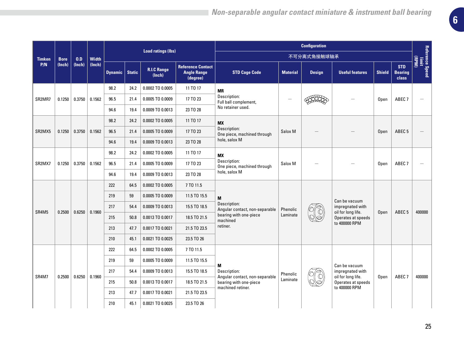|                                 |             |        |              | <b>Load ratings (lbs)</b> |      |                              |                                                            |                                                              | <b>Configuration</b> |               |                                          |               |                                       |                          |
|---------------------------------|-------------|--------|--------------|---------------------------|------|------------------------------|------------------------------------------------------------|--------------------------------------------------------------|----------------------|---------------|------------------------------------------|---------------|---------------------------------------|--------------------------|
| <b>Timken</b>                   | <b>Bore</b> | 0.D    | <b>Width</b> |                           |      |                              |                                                            |                                                              |                      | 不可分离式角接触球轴承   |                                          |               |                                       | (MdB)                    |
| P/N                             | (lnch)      | (Inch) | (Inch)       | Dynamic   Static          |      | <b>R.I.C Range</b><br>(Inch) | <b>Reference Contact</b><br><b>Angle Range</b><br>(degree) | <b>STD Cage Code</b>                                         | <b>Material</b>      | <b>Design</b> | <b>Useful features</b>                   | <b>Shield</b> | <b>STD</b><br><b>Bearing</b><br>class | Reference Speed<br>Innit |
|                                 |             |        |              | 98.2                      | 24.2 | 0.0002 TO 0.0005             | 11 TO 17                                                   | <b>MR</b>                                                    |                      |               |                                          |               |                                       |                          |
| SR <sub>2</sub> MR <sub>7</sub> | 0.1250      | 0.3750 | 0.1562       | 96.5                      | 21.4 | 0.0005 TO 0.0009             | 17 TO 23                                                   | Description:<br>Full ball complement,                        |                      |               |                                          | Open          | ABEC <sub>7</sub>                     | $\overline{\phantom{0}}$ |
|                                 |             |        |              | 94.6                      | 19.4 | 0.0009 TO 0.0013             | 23 TO 28                                                   | No retainer used.                                            |                      |               |                                          |               |                                       |                          |
|                                 |             |        |              | 98.2                      | 24.2 | 0.0002 TO 0.0005             | 11 TO 17                                                   | <b>MX</b>                                                    |                      |               |                                          |               |                                       |                          |
| SR <sub>2</sub> M <sub>X5</sub> | 0.1250      | 0.3750 | 0.1562       | 96.5                      | 21.4 | 0.0005 TO 0.0009             | 17 TO 23                                                   | Description:<br>One piece, machined through<br>hole, salox M | Salox <sub>M</sub>   |               |                                          | Open          | ABEC <sub>5</sub>                     |                          |
|                                 |             |        |              | 94.6                      | 19.4 | 0.0009 TO 0.0013             | 23 TO 28                                                   |                                                              |                      |               |                                          |               |                                       |                          |
|                                 |             |        |              | 98.2                      | 24.2 | 0.0002 TO 0.0005             | 11 TO 17                                                   | <b>MX</b><br>Description:<br>One piece, machined through     |                      |               |                                          |               |                                       |                          |
| SR <sub>2</sub> M <sub>X7</sub> | 0.1250      | 0.3750 | 0.1562       | 96.5                      | 21.4 | 0.0005 TO 0.0009             | 17 TO 23                                                   |                                                              | Salox M              |               |                                          | Open          | ABEC <sub>7</sub>                     | $\overline{\phantom{0}}$ |
|                                 |             |        |              | 94.6                      | 19.4 | 0.0009 TO 0.0013             | 23 TO 28                                                   | hole, salox M                                                |                      |               |                                          |               |                                       |                          |
|                                 |             |        |              | 222                       | 64.5 | 0.0002 TO 0.0005             | 7 TO 11.5                                                  | M<br>Description:<br>Angular contact, non-separable          |                      |               |                                          |               |                                       |                          |
|                                 |             |        |              | 219                       | 59   | 0.0005 TO 0.0009             | 11.5 TO 15.5                                               |                                                              |                      |               | Can be vacuum                            |               |                                       |                          |
| SR4M5                           | 0.2500      | 0.6250 |              | 217                       | 54.4 | 0.0009 TO 0.0013             | 15.5 TO 18.5                                               |                                                              | Phenolic             |               | impregnated with                         |               | ABEC <sub>5</sub>                     | 400000                   |
|                                 |             |        | 0.1960       | 215                       | 50.8 | 0.0013 TO 0.0017             | 18.5 TO 21.5                                               | bearing with one-piece<br>machined                           | Laminate             |               | oil for long life.<br>Operates at speeds | Open          |                                       |                          |
|                                 |             |        |              | 213                       | 47.7 | 0.0017 TO 0.0021             | 21.5 TO 23.5                                               | retiner.                                                     |                      |               | to 400000 RPM                            |               |                                       |                          |
|                                 |             |        |              | 210                       | 45.1 | 0.0021 TO 0.0025             | 23.5 TO 26                                                 |                                                              |                      |               |                                          |               |                                       |                          |
|                                 |             |        |              | 222                       | 64.5 | 0.0002 TO 0.0005             | 7 TO 11.5                                                  |                                                              |                      |               |                                          |               |                                       |                          |
|                                 |             |        |              | 219                       | 59   | 0.0005 TO 0.0009             | 11.5 TO 15.5                                               | M                                                            |                      |               | Can be vacuum                            |               |                                       |                          |
| SR4M7                           | 0.2500      | 0.6250 | 0.1960       | 217                       | 54.4 | 0.0009 TO 0.0013             | 15.5 TO 18.5                                               | Description:                                                 | Phenolic             |               | impregnated with<br>oil for long life.   |               | ABEC <sub>7</sub>                     | 400000                   |
|                                 |             |        |              | 215                       | 50.8 | 0.0013 TO 0.0017             | 18.5 TO 21.5                                               | Angular contact, non-separable<br>bearing with one-piece     | Laminate             |               | Operates at speeds                       | Open          |                                       |                          |
|                                 |             |        |              | 213                       | 47.7 | 0.0017 TO 0.0021             | 21.5 TO 23.5                                               | machined retiner.                                            |                      |               | to 400000 RPM                            |               |                                       |                          |
|                                 |             |        |              | 210                       | 45.1 | 0.0021 TO 0.0025             | 23.5 TO 26                                                 |                                                              |                      |               |                                          |               |                                       |                          |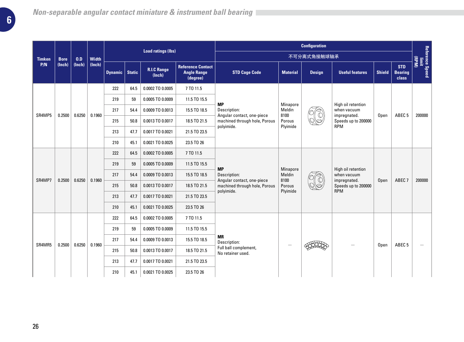|               |             |        |              | <b>Load ratings (lbs)</b> |               |                              |                                                            |                                                                                                        |                    | <b>Configuration</b> |                                     |               |                                       |                          |
|---------------|-------------|--------|--------------|---------------------------|---------------|------------------------------|------------------------------------------------------------|--------------------------------------------------------------------------------------------------------|--------------------|----------------------|-------------------------------------|---------------|---------------------------------------|--------------------------|
| <b>Timken</b> | <b>Bore</b> | 0.D    | <b>Width</b> |                           |               |                              |                                                            |                                                                                                        |                    | 不可分离式角接触球轴承          |                                     |               |                                       | (MdB)                    |
| P/N           | (Inch)      | (Inch) | (Inch)       | <b>Dynamic</b>            | <b>Static</b> | <b>R.I.C Range</b><br>(Inch) | <b>Reference Contact</b><br><b>Angle Range</b><br>(degree) | <b>STD Cage Code</b>                                                                                   | <b>Material</b>    | <b>Design</b>        | <b>Useful features</b>              | <b>Shield</b> | <b>STD</b><br><b>Bearing</b><br>class | Reference Speed<br>Innit |
|               |             |        |              | 222                       | 64.5          | 0.0002 TO 0.0005             | 7 TO 11.5                                                  |                                                                                                        |                    |                      |                                     |               |                                       |                          |
|               |             |        |              | 219                       | 59            | 0.0005 TO 0.0009             | 11.5 TO 15.5                                               | <b>MP</b>                                                                                              |                    |                      | High oil retention                  |               |                                       |                          |
| SR4MP5        | 0.2500      | 0.6250 | 0.1960       | 217                       | 54.4          | 0.0009 TO 0.0013             | 15.5 TO 18.5                                               | Description:<br>Angular contact, one-piece<br>machined through hole, Porous<br>polyimide.              | Minapore<br>Meldin |                      | when vacuum                         |               |                                       |                          |
|               |             |        |              | 215                       | 50.8          | 0.0013 TO 0.0017             | 18.5 TO 21.5                                               |                                                                                                        | 8100<br>Porous     |                      | impregnated.<br>Speeds up to 200000 | Open          | ABEC <sub>5</sub>                     | 200000                   |
|               |             |        |              | 213                       | 47.7          | 0.0017 TO 0.0021             | 21.5 TO 23.5                                               |                                                                                                        | Plyimide           |                      | <b>RPM</b>                          |               |                                       |                          |
|               |             |        |              | 210                       | 45.1          | 0.0021 TO 0.0025             | 23.5 TO 26                                                 |                                                                                                        |                    |                      |                                     |               |                                       |                          |
|               |             |        |              | 222                       | 64.5          | 0.0002 TO 0.0005             | 7 TO 11.5                                                  | <b>MP</b><br>Description:<br>Angular contact, one-piece<br>machined through hole, Porous<br>polyimide. |                    |                      |                                     |               |                                       |                          |
|               |             |        |              | 219                       | 59            | 0.0005 TO 0.0009             | 11.5 TO 15.5                                               |                                                                                                        |                    |                      |                                     |               |                                       |                          |
|               |             | 0.6250 |              | 217                       | 54.4          | 0.0009 TO 0.0013             | 15.5 TO 18.5                                               |                                                                                                        | Minapore<br>Meldin |                      | High oil retention<br>when vacuum   |               |                                       |                          |
| SR4MP7        | 0.2500      |        | 0.1960       | 215                       | 50.8          | 0.0013 TO 0.0017             | 18.5 TO 21.5                                               |                                                                                                        | 8100<br>Porous     |                      | impregnated.<br>Speeds up to 200000 | Open          | ABEC <sub>7</sub>                     | 200000                   |
|               |             |        |              | 213                       | 47.7          | 0.0017 TO 0.0021             | 21.5 TO 23.5                                               |                                                                                                        | Plyimide           |                      | <b>RPM</b>                          |               |                                       |                          |
|               |             |        |              | 210                       | 45.1          | 0.0021 TO 0.0025             | 23.5 TO 26                                                 |                                                                                                        |                    |                      |                                     |               |                                       |                          |
|               |             |        |              | 222                       | 64.5          | 0.0002 TO 0.0005             | 7 TO 11.5                                                  |                                                                                                        |                    |                      |                                     |               |                                       |                          |
|               |             |        |              | 219                       | 59            | 0.0005 TO 0.0009             | 11.5 TO 15.5                                               |                                                                                                        |                    |                      |                                     |               |                                       |                          |
|               |             |        |              | 217                       | 54.4          | 0.0009 TO 0.0013             | 15.5 TO 18.5                                               | <b>MR</b><br>Description:                                                                              |                    |                      |                                     |               |                                       |                          |
| SR4MR5        | 0.2500      | 0.6250 | 0.1960       | 215                       | 50.8          | 0.0013 TO 0.0017             | 18.5 TO 21.5                                               | Full ball complement,<br>No retainer used.                                                             |                    |                      |                                     | Open          | ABEC <sub>5</sub>                     |                          |
|               |             |        |              | 213                       | 47.7          | 0.0017 TO 0.0021             | 21.5 TO 23.5                                               |                                                                                                        |                    |                      |                                     |               |                                       |                          |
|               |             |        |              | 210                       | 45.1          | 0.0021 TO 0.0025             | 23.5 TO 26                                                 |                                                                                                        |                    |                      |                                     |               |                                       |                          |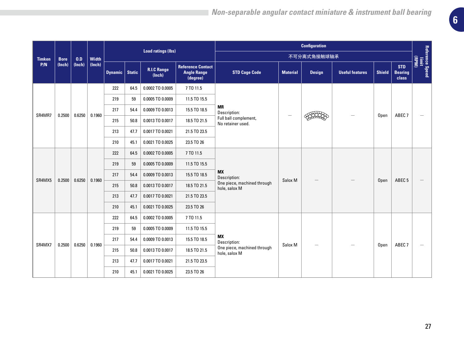|               |             |        |              | <b>Load ratings (lbs)</b> |      |                              |                                                            |                                                                         | <b>Configuration</b> |               |                        |               |                                       |                                    |
|---------------|-------------|--------|--------------|---------------------------|------|------------------------------|------------------------------------------------------------|-------------------------------------------------------------------------|----------------------|---------------|------------------------|---------------|---------------------------------------|------------------------------------|
| <b>Timken</b> | <b>Bore</b> | 0.D    | <b>Width</b> |                           |      |                              |                                                            |                                                                         |                      | 不可分离式角接触球轴承   |                        |               |                                       | (RPM)                              |
| P/N           | (Inch)      | (Inch) | (Inch)       | Dynamic   Static          |      | <b>R.I.C Range</b><br>(Inch) | <b>Reference Contact</b><br><b>Angle Range</b><br>(degree) | <b>STD Cage Code</b>                                                    | <b>Material</b>      | <b>Design</b> | <b>Useful features</b> | <b>Shield</b> | <b>STD</b><br><b>Bearing</b><br>class | Reference Speed<br>Reference Speed |
|               |             |        |              | 222                       | 64.5 | 0.0002 TO 0.0005             | 7 TO 11.5                                                  |                                                                         |                      |               |                        |               |                                       |                                    |
|               |             |        |              | 219                       | 59   | 0.0005 TO 0.0009             | 11.5 TO 15.5                                               |                                                                         |                      |               |                        |               |                                       |                                    |
| SR4MR7        |             |        | 0.1960       | 217                       | 54.4 | 0.0009 TO 0.0013             | 15.5 TO 18.5                                               | <b>MR</b><br>Description:<br>Full ball complement,<br>No retainer used. |                      |               |                        |               | ABEC <sub>7</sub>                     |                                    |
|               | 0.2500      | 0.6250 |              | 215                       | 50.8 | 0.0013 TO 0.0017             | 18.5 TO 21.5                                               |                                                                         |                      |               |                        | Open          |                                       |                                    |
|               |             |        |              | 213                       | 47.7 | 0.0017 TO 0.0021             | 21.5 TO 23.5                                               |                                                                         |                      |               |                        |               |                                       |                                    |
|               |             |        |              | 210                       | 45.1 | 0.0021 TO 0.0025             | 23.5 TO 26                                                 |                                                                         |                      |               |                        |               |                                       |                                    |
|               |             |        |              | 222                       | 64.5 | 0.0002 TO 0.0005             | 7 TO 11.5                                                  | МX<br>Description:<br>One piece, machined through<br>hole, salox M      |                      |               |                        |               |                                       |                                    |
|               |             |        |              | 219                       | 59   | 0.0005 TO 0.0009             | 11.5 TO 15.5                                               |                                                                         |                      |               |                        |               |                                       |                                    |
| SR4MX5        | 0.2500      | 0.6250 | 0.1960       | 217                       | 54.4 | 0.0009 TO 0.0013             | 15.5 TO 18.5                                               |                                                                         | Salox M              |               |                        |               |                                       |                                    |
|               |             |        |              | 215                       | 50.8 | 0.0013 TO 0.0017             | 18.5 TO 21.5                                               |                                                                         |                      |               |                        | Open          | ABEC <sub>5</sub>                     |                                    |
|               |             |        |              | 213                       | 47.7 | 0.0017 TO 0.0021             | 21.5 TO 23.5                                               |                                                                         |                      |               |                        |               |                                       |                                    |
|               |             |        |              | 210                       | 45.1 | 0.0021 TO 0.0025             | 23.5 TO 26                                                 |                                                                         |                      |               |                        |               |                                       |                                    |
|               |             |        |              | 222                       | 64.5 | 0.0002 TO 0.0005             | 7 TO 11.5                                                  |                                                                         |                      |               |                        |               |                                       |                                    |
|               |             |        |              | 219                       | 59   | 0.0005 TO 0.0009             | 11.5 TO 15.5                                               |                                                                         |                      |               |                        |               |                                       |                                    |
|               |             |        | 0.1960       | 217                       | 54.4 | 0.0009 TO 0.0013             | 15.5 TO 18.5                                               | <b>MX</b><br>Description:                                               | Salox M              |               |                        |               |                                       |                                    |
| SR4MX7        | 0.2500      | 0.6250 |              | 215                       | 50.8 | 0.0013 TO 0.0017             | 18.5 TO 21.5                                               | One piece, machined through<br>hole, salox M                            |                      |               |                        | Open          | ABEC <sub>7</sub>                     | -                                  |
|               |             |        |              | 213                       | 47.7 | 0.0017 TO 0.0021             | 21.5 TO 23.5                                               |                                                                         |                      |               |                        |               |                                       |                                    |
|               |             |        |              | 210                       | 45.1 | 0.0021 TO 0.0025             | 23.5 TO 26                                                 |                                                                         |                      |               |                        |               |                                       |                                    |